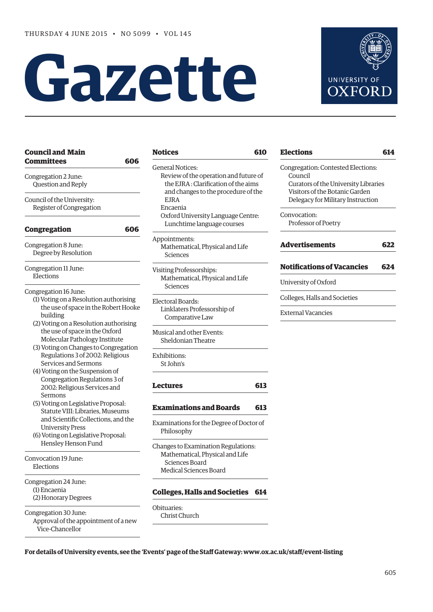# **Gazette**



**[Elections](#page-9-0) 614**

**[Notifications of Vacancies 624](#page-19-0)**

| <b>Council and Main</b>                                                                                                              | <b>Notices</b>                                                                                                                                                                                                                                | 610 | <b>Elections</b>                                                                                                                                             | 614 |
|--------------------------------------------------------------------------------------------------------------------------------------|-----------------------------------------------------------------------------------------------------------------------------------------------------------------------------------------------------------------------------------------------|-----|--------------------------------------------------------------------------------------------------------------------------------------------------------------|-----|
| <b>Committees</b><br>606<br>Congregation 2 June:<br>Question and Reply<br>Council of the University:                                 | <b>General Notices:</b><br>Review of the operation and future of<br>the EJRA: Clarification of the aims<br>and changes to the procedure of the<br><b>EJRA</b><br>Encaenia<br>Oxford University Language Centre:<br>Lunchtime language courses |     | Congregation: Contested Elections:<br>Council<br>Curators of the University Libraries<br>Visitors of the Botanic Garden<br>Delegacy for Military Instruction |     |
| Register of Congregation                                                                                                             |                                                                                                                                                                                                                                               |     | Convocation:<br>Professor of Poetry                                                                                                                          |     |
| Congregation<br>606                                                                                                                  | Appointments:                                                                                                                                                                                                                                 |     |                                                                                                                                                              |     |
| Congregation 8 June:<br>Degree by Resolution                                                                                         | Mathematical, Physical and Life<br>Sciences                                                                                                                                                                                                   |     | <b>Advertisements</b>                                                                                                                                        | 622 |
| Congregation 11 June:                                                                                                                | Visiting Professorships:                                                                                                                                                                                                                      |     | <b>Notifications of Vacancies</b>                                                                                                                            | 624 |
| Elections                                                                                                                            | Mathematical, Physical and Life<br>Sciences                                                                                                                                                                                                   |     | University of Oxford                                                                                                                                         |     |
| Congregation 16 June:<br>(1) Voting on a Resolution authorising                                                                      | Electoral Boards:                                                                                                                                                                                                                             |     | Colleges, Halls and Societies                                                                                                                                |     |
| the use of space in the Robert Hooke<br>building<br>(2) Voting on a Resolution authorising                                           | Linklaters Professorship of<br>Comparative Law                                                                                                                                                                                                |     | <b>External Vacancies</b>                                                                                                                                    |     |
| the use of space in the Oxford<br>Molecular Pathology Institute                                                                      | Musical and other Events:<br>Sheldonian Theatre                                                                                                                                                                                               |     |                                                                                                                                                              |     |
| (3) Voting on Changes to Congregation<br>Regulations 3 of 2002: Religious<br>Services and Sermons<br>(4) Voting on the Suspension of | Exhibitions:<br>St John's                                                                                                                                                                                                                     |     |                                                                                                                                                              |     |
| Congregation Regulations 3 of<br>2002: Religious Services and<br>Sermons                                                             | <b>Lectures</b>                                                                                                                                                                                                                               | 613 |                                                                                                                                                              |     |
| (5) Voting on Legislative Proposal:<br>Statute VIII: Libraries, Museums                                                              | <b>Examinations and Boards</b>                                                                                                                                                                                                                | 613 |                                                                                                                                                              |     |
| and Scientific Collections, and the<br><b>University Press</b><br>(6) Voting on Legislative Proposal:                                | Examinations for the Degree of Doctor of<br>Philosophy                                                                                                                                                                                        |     |                                                                                                                                                              |     |
| Hensley Henson Fund<br>Convocation 19 June:<br>Elections                                                                             | Changes to Examination Regulations:<br>Mathematical, Physical and Life<br>Sciences Board<br>Medical Sciences Board                                                                                                                            |     |                                                                                                                                                              |     |
| Congregation 24 June:<br>(1) Encaenia<br>(2) Honorary Degrees                                                                        | <b>Colleges, Halls and Societies 614</b>                                                                                                                                                                                                      |     |                                                                                                                                                              |     |
| Congregation 30 June:<br>Approval of the appointment of a new<br>Vice-Chancellor                                                     | Obituaries:<br>Christ Church                                                                                                                                                                                                                  |     |                                                                                                                                                              |     |

**For details of University events, see the 'Events' page of the Staff Gateway: www.ox.ac.uk/staff/event-listing**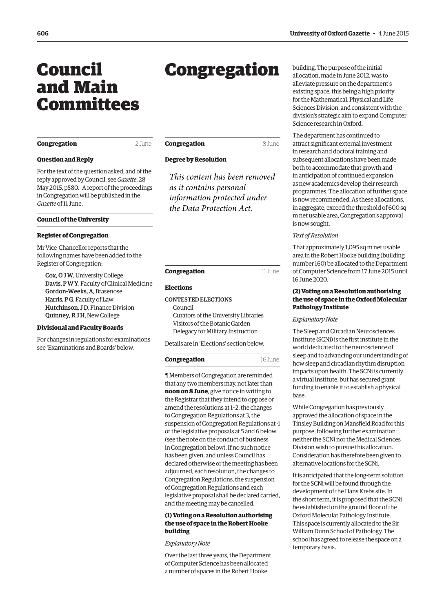# <span id="page-1-0"></span>Council and Main Committees

## **Congregation** 2 June

## **Question and Reply**

For the text of the question asked, and of the reply approved by Council, see *Gazette*, 28 [May 2015, p580. A report of the proceeding](http://www.ox.ac.uk/gazette/2014-2015/28may2015-no5098/congregation/#208173)s in Congregation will be published in the *Gazette* of 11 June.

#### **Council of the University**

#### **Register of Congregation**

Mr Vice-Chancellor reports that the following names have been added to the Register of Congregation:

Cox, O J W, University College Davis, P W Y, Faculty of Clinical Medicine Gordon-Weeks, A, Brasenose Harris, PG, Faculty of Law Hutchinson, J D, Finance Division Quinney, R J H, New College

#### **Divisional and Faculty Boards**

For changes in regulations for examinations see '[Examinations and Boards'](#page-8-0) below.

# Congregation

## **Degree by Resolution**

*This content has been removed as it contains personal information protected under the Data Protection Act.*

| Congregation | 11 June |
|--------------|---------|

#### **Elections**

## CONTESTED ELECTIONS

Council Curators of the University Libraries Visitors of the Botanic Garden Delegacy for Military Instruction

Details are in '[Elections'](#page-9-0) section below.

| Congregation | 16 June |
|--------------|---------|
|--------------|---------|

¶ Members of Congregation are reminded that any two members may, not later than **noon on 8 June**, give notice in writing to the Registrar that they intend to oppose or amend the resolutions at 1–2, the changes to Congregation Regulations at 3, the suspension of Congregation Regulations at 4 or the legislative proposals at 5 and 6 below (see the note on the conduct of business in Congregation below). If no such notice has been given, and unless Council has declared otherwise or the meeting has been adjourned, each resolution, the changes to Congregation Regulations, the suspension of Congregation Regulations and each legislative proposal shall be declared carried, and the meeting may be cancelled.

## **(1) Voting on a Resolution authorising the use of space in the Robert Hooke building**

## *Explanatory Note*

Over the last three years, the Department of Computer Science has been allocated a number of spaces in the Robert Hooke

building. The purpose of the initial allocation, made in June 2012, was to alleviate pressure on the department's existing space, this being a high priority for the Mathematical, Physical and Life Sciences Division, and consistent with the division's strategic aim to expand Computer Science research in Oxford.

The department has continued to attract significant external investment in research and doctoral training and subsequent allocations have been made both to accommodate that growth and in anticipation of continued expansion as new academics develop their research programmes. The allocation of further space is now recommended. As these allocations, in aggregate, exceed the threshold of 600 sq m net usable area, Congregation's approval is now sought.

#### *Text of Resolution*

That approximately 1,095 sq m net usable area in the Robert Hooke building (building number 160) be allocated to the Department of Computer Science from 17 June 2015 until 16 June 2020.

## **(2) Voting on a Resolution authorising the use of space in the Oxford Molecular Pathology Institute**

#### *Explanatory Note*

The Sleep and Circadian Neurosciences Institute (SCNi) is the first institute in the world dedicated to the neuroscience of sleep and to advancing our understanding of how sleep and circadian rhythm disruption impacts upon health. The SCNi is currently a virtual institute, but has secured grant funding to enable it to establish a physical base.

While Congregation has previously approved the allocation of space in the Tinsley Building on Mansfield Road for this purpose, following further examination neither the SCNi nor the Medical Sciences Division wish to pursue this allocation. Consideration has therefore been given to alternative locations for the SCNi.

It is anticipated that the long-term solution for the SCNi will be found through the development of the Hans Krebs site. In the short term, it is proposed that the SCNi be established on the ground floor of the Oxford Molecular Pathology Institute. This space is currently allocated to the Sir William Dunn School of Pathology. The school has agreed to release the space on a temporary basis.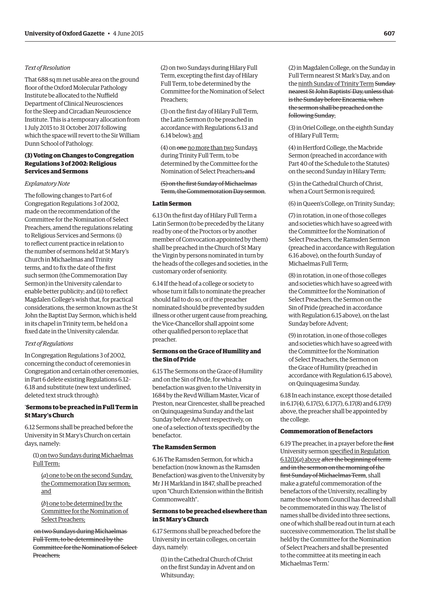## *Text of Resolution*

That 688 sq m net usable area on the ground floor of the Oxford Molecular Pathology Institute be allocated to the Nuffield Department of Clinical Neurosciences for the Sleep and Circadian Neuroscience Institute. This is a temporary allocation from 1 July 2015 to 31 October 2017 following which the space will revert to the Sir William Dunn School of Pathology.

## **(3) Voting on Changes to Congregation Regulations 3 of 2002: Religious Services and Sermons**

#### *Explanatory Note*

The following changes to Part 6 of Congregation Regulations 3 of 2002, made on the recommendation of the Committee for the Nomination of Select Preachers, amend the regulations relating to Religious Services and Sermons: (i) to reflect current practice in relation to the number of sermons held at St Mary's Church in Michaelmas and Trinity terms, and to fix the date of the first such sermon (the Commemoration Day Sermon) in the University calendar to enable better publicity; and (ii) to reflect Magdalen College's wish that, for practical considerations, the sermon known as the St John the Baptist Day Sermon, which is held in its chapel in Trinity term, be held on a fixed date in the University calendar.

#### *Text of Regulations*

In Congregation Regulations 3 of 2002, concerning the conduct of ceremonies in Congregation and certain other ceremonies, in Part 6 delete existing Regulations 6.12– 6.18 and substitute (new text underlined, deleted text struck through):

## '**Sermons to be preached in Full Term in St Mary's Church**

6.12 Sermons shall be preached before the University in St Mary's Church on certain days, namely:

(1) on two Sundays during Michaelmas Full Term:

(*a*) one to be on the second Sunday, the Commemoration Day sermon; and

(*b*) one to be determined by the Committee for the Nomination of Select Preachers;

on two Sundays during Michaelmas Full Term, to be determined by the Committee for the Nomination of Select Preachers;

(2) on two Sundays during Hilary Full Term, excepting the first day of Hilary Full Term, to be determined by the Committee for the Nomination of Select Preachers;

(3) on the first day of Hilary Full Term, the Latin Sermon (to be preached in accordance with Regulations 6.13 and 6.14 below); and

(4) on one no more than two Sundays during Trinity Full Term, to be determined by the Committee for the Nomination of Select Preachers; and

## (5) on the first Sunday of Michaelmas Term, the Commemoration Day sermon.

## **Latin Sermon**

6.13 On the first day of Hilary Full Term a Latin Sermon (to be preceded by the Litany read by one of the Proctors or by another member of Convocation appointed by them) shall be preached in the Church of St Mary the Virgin by persons nominated in turn by the heads of the colleges and societies, in the customary order of seniority.

6.14 If the head of a college or society to whose turn it falls to nominate the preacher should fail to do so, or if the preacher nominated should be prevented by sudden illness or other urgent cause from preaching, the Vice-Chancellor shall appoint some other qualified person to replace that preacher.

## **Sermons on the Grace of Humility and the Sin of Pride**

6.15 The Sermons on the Grace of Humility and on the Sin of Pride, for which a benefaction was given to the University in 1684 by the Revd William Master, Vicar of Preston, near Cirencester, shall be preached on Quinquagesima Sunday and the last Sunday before Advent respectively, on one of a selection of texts specified by the benefactor.

#### **The Ramsden Sermon**

6.16 The Ramsden Sermon, for which a benefaction (now known as the Ramsden Benefaction) was given to the University by Mr J H Markland in 1847, shall be preached upon "Church Extension within the British Commonwealth".

## **Sermons to be preached elsewhere than in St Mary's Church**

6.17 Sermons shall be preached before the University in certain colleges, on certain days, namely:

(1) in the Cathedral Church of Christ on the first Sunday in Advent and on Whitsunday;

(2) in Magdalen College, on the Sunday in Full Term nearest St Mark's Day, and on the ninth Sunday of Trinity Term Sunday nearest St John Baptists' Day, unless that is the Sunday before Encaenia, when the sermon shall be preached on the following Sunday;

(3) in Oriel College, on the eighth Sunday of Hilary Full Term;

(4) in Hertford College, the Macbride Sermon (preached in accordance with Part 40 of the Schedule to the Statutes) on the second Sunday in Hilary Term;

(5) in the Cathedral Church of Christ, when a Court Sermon is required;

(6) in Queen's College, on Trinity Sunday;

(7) in rotation, in one of those colleges and societies which have so agreed with the Committee for the Nomination of Select Preachers, the Ramsden Sermon (preached in accordance with Regulation 6.16 above), on the fourth Sunday of Michaelmas Full Term;

(8) in rotation, in one of those colleges and societies which have so agreed with the Committee for the Nomination of Select Preachers, the Sermon on the Sin of Pride (preached in accordance with Regulation 6.15 above), on the last Sunday before Advent;

(9) in rotation, in one of those colleges and societies which have so agreed with the Committee for the Nomination of Select Preachers, the Sermon on the Grace of Humility (preached in accordance with Regulation 6.15 above), on Quinquagesima Sunday.

6.18 In each instance, except those detailed in 6.17(4), 6.17(5), 6.17(7), 6.17(8) and 6.17(9) above, the preacher shall be appointed by the college.

#### **Commemoration of Benefactors**

6.19 The preacher, in a prayer before the first University sermon specified in Regulation  $6.12(1)(a)$  above after the beginning of termand in the sermon on the morning of the first Sunday of Michaelmas Term, shall make a grateful commemoration of the benefactors of the University, recalling by name those whom Council has decreed shall be commemorated in this way. The list of names shall be divided into three sections, one of which shall be read out in turn at each successive commemoration. The list shall be held by the Committee for the Nomination of Select Preachers and shall be presented to the committee at its meeting in each Michaelmas Term.'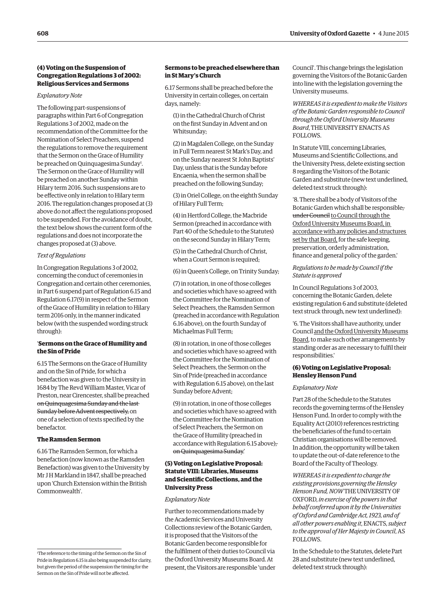## **(4) Voting on the Suspension of Congregation Regulations 3 of 2002: Religious Services and Sermons**

#### *Explanatory Note*

The following part-suspensions of paragraphs within Part 6 of Congregation Regulations 3 of 2002, made on the recommendation of the Committee for the Nomination of Select Preachers, suspend the regulations to remove the requirement that the Sermon on the Grace of Humility be preached on Quinquagesima Sunday<sup>1</sup>. The Sermon on the Grace of Humility will be preached on another Sunday within Hilary term 2016. Such suspensions are to be effective only in relation to Hilary term 2016. The regulation changes proposed at (3) above do not affect the regulations proposed to be suspended. For the avoidance of doubt, the text below shows the current form of the regulations and does not incorporate the changes proposed at (3) above.

#### *Text of Regulations*

In Congregation Regulations 3 of 2002, concerning the conduct of ceremonies in Congregation and certain other ceremonies, in Part 6 suspend part of Regulation 6.15 and Regulation 6.17(9) in respect of the Sermon of the Grace of Humility in relation to Hilary term 2016 only, in the manner indicated below (with the suspended wording struck through):

## '**Sermons on the Grace of Humility and the Sin of Pride**

6.15 The Sermons on the Grace of Humility and on the Sin of Pride, for which a benefaction was given to the University in 1684 by The Revd William Master, Vicar of Preston, near Cirencester, shall be preached on Quinquagesima Sunday and the last Sunday before Advent respectively, on one of a selection of texts specified by the benefactor.

## **The Ramsden Sermon**

6.16 The Ramsden Sermon, for which a benefaction (now known as the Ramsden Benefaction) was given to the University by Mr J H Markland in 1847, shall be preached upon 'Church Extension within the British Commonwealth'.

## **Sermons to be preached elsewhere than in St Mary's Church**

6.17 Sermons shall be preached before the University in certain colleges, on certain days, namely:

(1) in the Cathedral Church of Christ on the first Sunday in Advent and on Whitsunday;

(2) in Magdalen College, on the Sunday in Full Term nearest St Mark's Day, and on the Sunday nearest St John Baptists' Day, unless that is the Sunday before Encaenia, when the sermon shall be preached on the following Sunday;

(3) in Oriel College, on the eighth Sunday of Hilary Full Term;

(4) in Hertford College, the Macbride Sermon (preached in accordance with Part 40 of the Schedule to the Statutes) on the second Sunday in Hilary Term;

(5) in the Cathedral Church of Christ, when a Court Sermon is required;

(6) in Queen's College, on Trinity Sunday;

(7) in rotation, in one of those colleges and societies which have so agreed with the Committee for the Nomination of Select Preachers, the Ramsden Sermon (preached in accordance with Regulation 6.16 above), on the fourth Sunday of Michaelmas Full Term;

(8) in rotation, in one of those colleges and societies which have so agreed with the Committee for the Nomination of Select Preachers, the Sermon on the Sin of Pride (preached in accordance with Regulation 6.15 above), on the last Sunday before Advent;

(9) in rotation, in one of those colleges and societies which have so agreed with the Committee for the Nomination of Select Preachers, the Sermon on the Grace of Humility (preached in accordance with Regulation 6.15 above), on Quinquagesima Sunday.'

## **(5) Voting on Legislative Proposal: Statute VIII: Libraries, Museums and Scientific Collections, and the University Press**

#### *Explanatory Note*

Further to recommendations made by the Academic Services and University Collections review of the Botanic Garden, it is proposed that the Visitors of the Botanic Garden become responsible for the fulfilment of their duties to Council via the Oxford University Museums Board. At present, the Visitors are responsible 'under Council'. This change brings the legislation governing the Visitors of the Botanic Garden into line with the legislation governing the University museums.

*WHEREAS it is expedient to make the Visitors of the Botanic Garden responsible to Council through the Oxford University Museums Board*, THEUNIVERSITY ENACTSAS **FOLLOWS** 

In Statute VIII, concerning Libraries, Museums and Scientific Collections, and the University Press, delete existing section 8 regarding the Visitors of the Botanic Garden and substitute (new text underlined, deleted text struck through):

'8. There shall be a body of Visitors of the Botanic Garden which shall be responsible, under Council to Council through the Oxford University Museums Board, in accordance with any policies and structures set by that Board, for the safe keeping, preservation, orderly administration, finance and general policy of the garden.'

*Regulations to be made by Council if the Statute is approved*

In Council Regulations 3 of 2003, concerning the Botanic Garden, delete existing regulation 6 and substitute (deleted text struck through, new text underlined):

'6. The Visitors shall have authority, under Council and the Oxford University Museums Board, to make such other arrangements by standing order as are necessary to fulfil their responsibilities.'

## **(6) Voting on Legislative Proposal: Hensley Henson Fund**

#### *Explanatory Note*

Part 28 of the Schedule to the Statutes records the governing terms of the Hensley Henson Fund. In order to comply with the Equality Act (2010) references restricting the beneficiaries of the fund to certain Christian organisations will be removed. In addition, the opportunity will be taken to update the out-of-date reference to the Board of the Faculty of Theology.

*WHEREAS it is expedient to change the existing provisions governing the Hensley Henson Fund, NOW* THEUNIVERSITY OF OXFORD, *in exercise of the powers in that behalf conferred upon it by the Universities of Oxford and Cambridge Act, 1923, and of all other powers enabling it*, ENACTS, *subject to the approval of Her Majesty in Council*, AS FOLLOWS.

In the Schedule to the Statutes, delete Part 28 and substitute (new text underlined, deleted text struck through):

<sup>1</sup> The reference to the timing of the Sermon on the Sin of Pride in Regulation 6.15 is also being suspended for clarity, but given the period of the suspension the timing for the Sermon on the Sin of Pride will not be affected.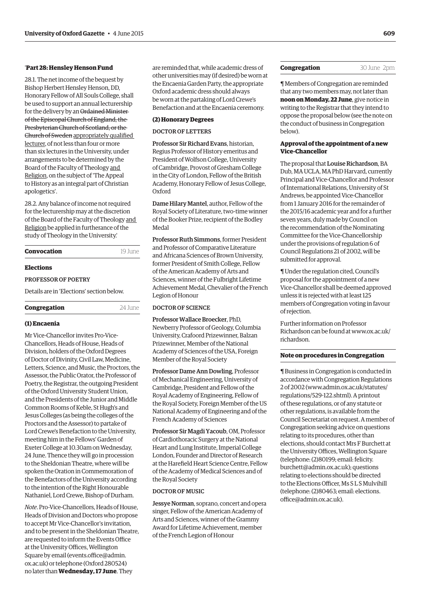#### '**Part 28: Hensley Henson Fund**

28.1. The net income of the bequest by Bishop Herbert Hensley Henson, DD, Honorary Fellow of All Souls College, shall be used to support an annual lecturership for the delivery by an Ordained Minister of the Episcopal Church of England, the Presbyterian Church of Scotland, or the Church of Sweden appropriately qualified lecturer, of not less than four or more than six lectures in the University, under arrangements to be determined by the Board of the Faculty of Theology and Religion, on the subject of 'The Appeal to History as an integral part of Christian apologetics'.

28.2. Any balance of income not required for the lecturership may at the discretion of the Board of the Faculty of Theology and Religion be applied in furtherance of the study of Theology in the University.'

| Convocation | 19 June |
|-------------|---------|
| Elections   |         |

#### Professorof Poetry

Details are in '[Elections' s](#page-12-0)ection below.

| Congregation | 24 June |
|--------------|---------|
|--------------|---------|

#### **(1) Encaenia**

Mr Vice-Chancellor invites Pro-Vice-Chancellors, Heads of House, Heads of Division, holders of the Oxford Degrees of Doctor of Divinity, Civil Law, Medicine, Letters, Science, and Music, the Proctors, the Assessor, the Public Orator, the Professor of Poetry, the Registrar, the outgoing President of the Oxford University Student Union, and the Presidents of the Junior and Middle Common Rooms of Keble, St Hugh's and Jesus Colleges (as being the colleges of the Proctors and the Assessor) to partake of Lord Crewe's Benefaction to the University, meeting him in the Fellows' Garden of Exeter College at 10.30am on Wednesday, 24 June. Thence they will go in procession to the Sheldonian Theatre, where will be spoken the Oration in Commemoration of the Benefactors of the University according to the intention of the Right Honourable Nathaniel, Lord Crewe, Bishop of Durham.

*Note*. Pro-Vice-Chancellors, Heads of House, Heads of Division and Doctors who propose to accept Mr Vice-Chancellor's invitation, and to be present in the Sheldonian Theatre, are requested to inform the Events Office at the University Offices, Wellington Square by email (events.office@admin. [ox.ac.uk\) or telephone \(Oxford 280524\)](mailto:events.office@admin.ox.ac.uk)  no later than **Wednesday, 17 June**. They

are reminded that, while academic dress of other universities may (if desired) be worn at the Encaenia Garden Party, the appropriate Oxford academic dress should always be worn at the partaking of Lord Crewe's Benefaction and at the Encaenia ceremony.

#### **(2) Honorary Degrees**

## DOCTOR OF LETTERS

Professor Sir Richard Evans, historian, Regius Professor of History emeritus and President of Wolfson College, University of Cambridge, Provost of Gresham College in the City of London, Fellow of the British Academy, Honorary Fellow of Jesus College, Oxford

Dame Hilary Mantel, author, Fellow of the Royal Society of Literature, two-time winner of the Booker Prize, recipient of the Bodley Medal

Professor Ruth Simmons, former President and Professor of Comparative Literature and Africana Sciences of Brown University, former President of Smith College, Fellow of the American Academy of Arts and Sciences, winner of the Fulbright Lifetime Achievement Medal, Chevalier of the French Legion of Honour

## DOCTOR OF SCIENCE

Professor Wallace Broecker, PhD, Newberry Professor of Geology, Columbia University, Crafoord Prizewinner, Balzan Prizewinner, Member of the National Academy of Sciences of the USA, Foreign Member of the Royal Society

Professor Dame Ann Dowling, Professor of Mechanical Engineering, University of Cambridge, President and Fellow of the Royal Academy of Engineering, Fellow of the Royal Society, Foreign Member of the US National Academy of Engineering and of the French Academy of Sciences

Professor Sir Magdi Yacoub, OM, Professor of Cardiothoracic Surgery at the National Heart and Lung Institute, Imperial College London, Founder and Director of Research at the Harefield Heart Science Centre, Fellow of the Academy of Medical Sciences and of the Royal Society

## DOCTOR OF MUSIC

Jessye Norman, soprano, concert and opera singer, Fellow of the American Academy of Arts and Sciences, winner of the Grammy Award for Lifetime Achievement, member of the French Legion of Honour

#### **Congregation** 30 June 2pm

¶ Members of Congregation are reminded that any two members may, not later than **noon on Monday, 22 June**, give notice in writing to the Registrar that they intend to oppose the proposal below (see the note on the conduct of business in Congregation below).

## **Approval of the appointment of a new Vice-Chancellor**

The proposal that Louise Richardson, BA Dub, MAUCLA, MA PhD Harvard, currently Principal and Vice-Chancellor and Professor of International Relations, University of St Andrews, be appointed Vice-Chancellor from 1 January 2016 for the remainder of the 2015/16 academic year and for a further seven years, duly made by Council on the recommendation of the Nominating Committee for the Vice-Chancellorship under the provisions of regulation 6 of Council Regulations 21 of 2002, will be submitted for approval.

¶ Under the regulation cited, Council's proposal for the appointment of a new Vice-Chancellor shall be deemed approved unless it is rejected with at least 125 members of Congregation voting in favour of rejection.

Further information on Professor [Richardson can be found at www.ox.ac.uk/](www.ox.ac.uk/richardson) richardson.

## **Note on procedures in Congregation**

¶ Business in Congregation is conducted in accordance with Congregation Regulations [2 of 2002 \(www.admin.ox.ac.uk/statutes/](www.admin.ox.ac.uk/statutes/regulations/529-122.shtml) regulations/529-122.shtml). A printout of these regulations, or of any statute or other regulations, is available from the Council Secretariat on request. A member of Congregation seeking advice on questions relating to its procedures, other than elections, should contact Mrs F Burchett at the University Offices, Wellington Square (telephone: (2)80199; email: felicity. [burchett@admin.ox.ac.uk\); questions](mailto:felicity.burchett@admin.ox.ac.uk)  relating to elections should be directed to the Elections Officer, Ms S L S Mulvihill [\(telephone: \(2\)80463; email: elections.](mailto:elections.office@admin.ox.ac.uk) office@admin.ox.ac.uk).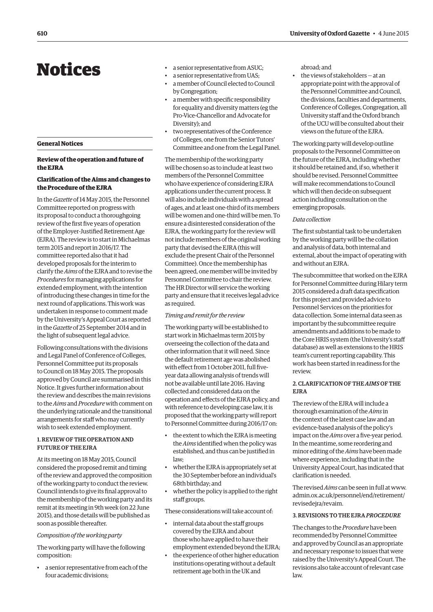# <span id="page-5-0"></span>Notices

#### **General Notices**

## **Review of the operation and future of the EJRA**

## **Clarification of the Aims and changes to the Procedure of the EJRA**

In the *Gazette* of 14 May 2015, the Personnel Committee reported on progress with its proposal to conduct a thoroughgoing review of the first five years of operation of the Employer-Justified Retirement Age (EJRA). The review is to start in Michaelmas term 2015 and report in 2016/17. The committee reported also that it had developed proposals for the interim to clarify the *Aims* of the EJRA and to revise the *Procedures* for managing applications for extended employment, with the intention of introducing these changes in time for the next round of applications. This work was undertaken in response to comment made by the University's Appeal Court as reported in the *Gazette* of 25 September 2014 and in the light of subsequent legal advice.

Following consultations with the divisions and Legal Panel of Conference of Colleges, Personnel Committee put its proposals to Council on 18 May 2015. The proposals approved by Council are summarised in this Notice. It gives further information about the review and describes the main revisions to the *Aims* and *Procedure* with comment on the underlying rationale and the transitional arrangements for staff who may currently wish to seek extended employment.

## 1. Review of the operation and future of the EJRA

At its meeting on 18 May 2015, Council considered the proposed remit and timing of the review and approved the composition of the working party to conduct the review. Council intends to give its final approval to the membership of the working party and its remit at its meeting in 9th week (on 22 June 2015), and those details will be published as soon as possible thereafter.

#### *Composition of the working party*

The working party will have the following composition:

• a senior representative from each of the four academic divisions;

- a senior representative from ASUC;
- a senior representative from UAS;
- a member of Council elected to Council by Congregation;
- a member with specific responsibility for equality and diversity matters (eg the Pro-Vice-Chancellor and Advocate for Diversity); and
- two representatives of the Conference of Colleges, one from the Senior Tutors' Committee and one from the Legal Panel.

The membership of the working party will be chosen so as to include at least two members of the Personnel Committee who have experience of considering EJRA applications under the current process. It will also include individuals with a spread of ages, and at least one-third of its members will be women and one-third will be men. To ensure a disinterested consideration of the EJRA , the working party for the review will not include members of the original working party that devised the EJRA (this will exclude the present Chair of the Personnel Committee). Once the membership has been agreed, one member will be invited by Personnel Committee to chair the review. The HR Director will service the working party and ensure that it receives legal advice as required.

## *Timing and remit for the review*

The working party will be established to start work in Michaelmas term 2015 by overseeing the collection of the data and other information that it will need. Since the default retirement age was abolished with effect from 1 October 2011, full fiveyear data allowing analysis of trends will not be available until late 2016. Having collected and considered data on the operation and effects of the EJRA policy, and with reference to developing case law, it is proposed that the working party will report to Personnel Committee during 2016/17 on:

- the extent to which the EJRA is meeting the *Aims* identified when the policy was established, and thus can be justified in law;
- whether the EJRA is appropriately set at the 30 September before an individual's 68th birthday; and
- whether the policy is applied to the right staff groups.

These considerations will take account of:

- internal data about the staff groups covered by the EJRA and about those who have applied to have their employment extended beyond the EJRA;
- the experience of other higher education institutions operating without a default retirement age both in the UK and

abroad; and

the views of stakeholders - at an appropriate point with the approval of the Personnel Committee and Council, the divisions, faculties and departments, Conference of Colleges, Congregation, all University staff and the Oxford branch of the UCU will be consulted about their views on the future of the EJRA .

The working party will develop outline proposals to the Personnel Committee on the future of the EJRA , including whether it should be retained and, if so, whether it should be revised. Personnel Committee will make recommendations to Council which will then decide on subsequent action including consultation on the emerging proposals.

#### *Data collection*

The first substantial task to be undertaken by the working party will be the collation and analysis of data, both internal and external, about the impact of operating with and without an EJRA.

The subcommittee that worked on the EJRA for Personnel Committee during Hilary term 2015 considered a draft data specification for this project and provided advice to Personnel Services on the priorities for data collection. Some internal data seen as important by the subcommittee require amendments and additions to be made to the Core HRIS system (the University's staff database) as well as extensions to the HRIS team's current reporting capability. This work has been started in readiness for the review.

## 2. Clarification of the *Aims*of the EJRA

The review of the EJRA will include a thorough examination of the *Aims* in the context of the latest case law and an evidence-based analysis of the policy's impact on the *Aims* over a five-year period. In the meantime, some reordering and minor editing of the *Aims* have been made where experience, including that in the University Appeal Court, has indicated that clarification is needed.

The revised *Aims* can be seen in full at www. [admin.ox.ac.uk/personnel/end/retirement/](www.admin.ox.ac.uk/personnel/end/retirement/revisedejra/revaim) revisedejra/revaim.

## 3. Revisions to the EJRA *Procedure*

The changes to the *Procedure* have been recommended by Personnel Committee and approved by Council as an appropriate and necessary response to issues that were raised by the University's Appeal Court. The revisions also take account of relevant case law.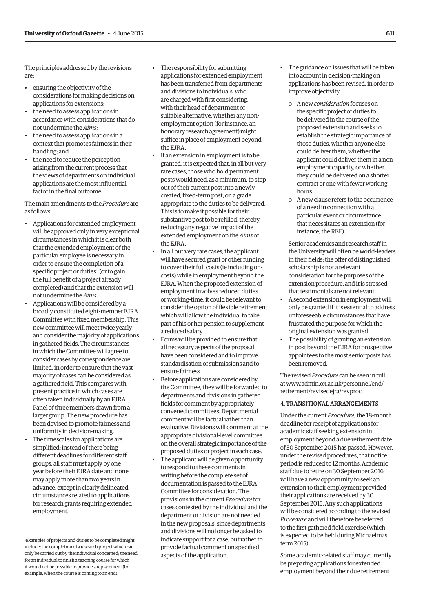The principles addressed by the revisions are:

- ensuring the objectivity of the considerations for making decisions on applications for extensions;
- the need to assess applications in accordance with considerations that do not undermine the *Aims*;
- the need to assess applications in a context that promotes fairness in their handling; and
- the need to reduce the perception arising from the current process that the views of departments on individual applications are the most influential factor in the final outcome.

The main amendments to the *Procedure* are as follows.

- Applications for extended employment will be approved only in very exceptional circumstances in which it is clear both that the extended employment of the particular employee is necessary in order to ensure the completion of a specific project or duties<sup>1</sup> (or to gain the full benefit of a project already completed) and that the extension will not undermine the *Aims*.
- Applications will be considered by a broadly constituted eight-member EJRA Committee with fixed membership. This new committee will meet twice yearly and consider the majority of applications in gathered fields. The circumstances in which the Committee will agree to consider cases by correspondence are limited, in order to ensure that the vast majority of cases can be considered as a gathered field. This compares with present practice in which cases are often taken individually by an EJRA Panel of three members drawn from a larger group. The new procedure has been devised to promote fairness and uniformity in decision-making.
- The timescales for applications are simplified: instead of there being different deadlines for different staff groups, all staff must apply by one year before their EJRA date and none may apply more than two years in advance, except in clearly delineated circumstances related to applications for research grants requiring extended employment.
- The responsibility for submitting applications for extended employment has been transferred from departments and divisions to individuals, who are charged with first considering, with their head of department or suitable alternative, whether any nonemployment option (for instance, an honorary research agreement) might suffice in place of employment beyond the EJRA .
- If an extension in employment is to be granted, it is expected that, in all but very rare cases, those who hold permanent posts would need, as a minimum, to step out of their current post into a newly created, fixed-term post, on a grade appropriate to the duties to be delivered. This is to make it possible for their substantive post to be refilled, thereby reducing any negative impact of the extended employment on the *Aims* of the EIRA
- In all but very rare cases, the applicant will have secured grant or other funding to cover their full costs (ie including oncosts) while in employment beyond the EJRA . When the proposed extension of employment involves reduced duties or working-time, it could be relevant to consider the option of flexible retirement which will allow the individual to take part of his or her pension to supplement a reduced salary.
- Forms will be provided to ensure that all necessary aspects of the proposal have been considered and to improve standardisation of submissions and to ensure fairness.
- Before applications are considered by the Committee, they will be forwarded to departments and divisions in gathered fields for comment by appropriately convened committees. Departmental comment will be factual rather than evaluative. Divisions will comment at the appropriate divisional-level committee on the overall strategic importance of the proposed duties or project in each case.
- The applicant will be given opportunity to respond to these comments in writing before the complete set of documentation is passed to the EJRA Committee for consideration. The provisions in the current *Procedure* for cases contested by the individual and the department or division are not needed in the new proposals, since departments and divisions will no longer be asked to indicate support for a case, but rather to provide factual comment on specified aspects of the application.
- The guidance on issues that will be taken into account in decision-making on applications has been revised, in order to improve objectivity.
	- o A new *consideration* focuses on the specific project or duties to be delivered in the course of the proposed extension and seeks to establish the strategic importance of those duties, whether anyone else could deliver them, whether the applicant could deliver them in a nonemployment capacity, or whether they could be delivered on a shorter contract or one with fewer working hours.
- o A new clause refers to the occurrence of a need in connection with a particular event or circumstance that necessitates an extension (for instance, the REF).

Senior academics and research staff in the University will often be world-leaders in their fields: the offer of distinguished scholarship is not a relevant consideration for the purposes of the extension procedure, and it is stressed that testimonials are not relevant.

- A second extension in employment will only be granted if it is essential to address unforeseeable circumstances that have frustrated the purpose for which the original extension was granted.
- The possibility of granting an extension in post beyond the EJRA for prospective appointees to the most senior posts has been removed.

The revised *Procedure* can be seen in full [at www.admin.ox.ac.uk/personnel/end/](www.admin.ox.ac.uk/personnel/end/retirement/revisedejra/revproc) retirement/revisedejra/revproc.

## 4. Transitional arrangements

Under the current *Procedure*, the 18-month deadline for receipt of applications for academic staff seeking extension in employment beyond a due retirement date of 30 September 2015 has passed. However, under the revised procedures, that notice period is reduced to 12 months. Academic staff due to retire on 30 September 2016 will have a new opportunity to seek an extension to their employment provided their applications are received by 30 September 2015. Any such applications will be considered according to the revised *Procedure* and will therefore be referred to the first gathered field exercise (which is expected to be held during Michaelmas term 2015).

Some academic-related staff may currently be preparing applications for extended employment beyond their due retirement

<sup>1</sup> Examples of projects and duties to be completed might include: the completion of a research project which can only be carried out by the individual concerned; the need for an individual to finish a teaching course for which it would not be possible to provide a replacement (for example, when the course is coming to an end).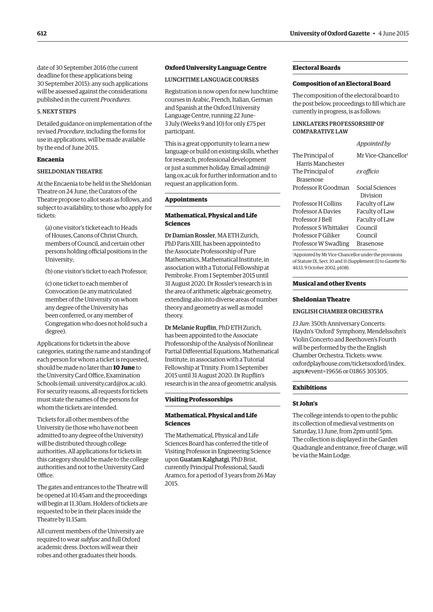date of 30 September 2016 (the current deadline for these applications being 30 September 2015): any such applications will be assessed against the considerations published in the current *Procedures*.

## 5. Next steps

Detailed guidance on implementation of the revised *Procedure*, including the forms for use in applications, will be made available by the end of June 2015.

## **Encaenia**

## SHELDONIAN THEATRE

At the Encaenia to be held in the Sheldonian Theatre on 24 June, the Curators of the Theatre propose to allot seats as follows, and subject to availability, to those who apply for tickets:

(a) one visitor's ticket each to Heads of Houses, Canons of Christ Church, members of Council, and certain other persons holding official positions in the University;

(b) one visitor's ticket to each Professor;

(c) one ticket to each member of Convocation (ie any matriculated member of the University on whom any degree of the University has been conferred, or any member of Congregation who does not hold such a degree).

Applications for tickets in the above categories, stating the name and standing of each person for whom a ticket is requested, should be made no later than **10 June** to the University Card Office, Examination Schools (email: university.card@ox.ac.uk). For security reasons, all requests for tickets must state the names of the persons for whom the tickets are intended.

Tickets for all other members of the University (ie those who have not been admitted to any degree of the University) will be distributed through college authorities. All applications for tickets in this category should be made to the college authorities and not to the University Card Office

The gates and entrances to the Theatre will be opened at 10.45am and the proceedings will begin at 11.30am. Holders of tickets are requested to be in their places inside the Theatre by 11.15am.

All current members of the University are required to wear *subfusc* and full Oxford academic dress. Doctors will wear their robes and other graduates their hoods.

## **Oxford University Language Centre**

## LUNCHTIME LANGUAGE COURSES

Registration is now open for new lunchtime courses in Arabic, French, Italian, German and Spanish at the Oxford University Language Centre, running 22 June– 3 July (Weeks 9 and 10) for only £75 per participant.

This is a great opportunity to learn a new language or build on existing skills, whether for research, professional development or just a summer holiday. Email admin@ [lang.ox.ac.uk for further information and to](mailto:admin@lang.ox.ac.uk)  request an application form.

## **Appointments**

## **Mathematical, Physical and Life Sciences**

Dr Damian Rossler, MAETH Zurich, PhD Paris XIII, has been appointed to the Associate Professorship of Pure Mathematics, Mathematical Institute, in association with a Tutorial Fellowship at Pembroke. From 1 September 2015 until 31 August 2020. Dr Rossler's research is in the area of arithmetic algebraic geometry, extending also into diverse areas of number theory and geometry as well as model theory.

Dr Melanie Rupflin, PhDETH Zurich, has been appointed to the Associate Professorship of the Analysis of Nonlinear Partial Differential Equations, Mathematical Institute, in association with a Tutorial Fellowship at Trinity. From 1 September 2015 until 31 August 2020. Dr Rupflin's research is in the area of geometric analysis.

#### **Visiting Professorships**

## **Mathematical, Physical and Life Sciences**

The Mathematical, Physical and Life Sciences Board has conferred the title of Visiting Professor in Engineering Science upon Guatam Kalghatgi, PhD Brist, currently Principal Professional, Saudi Aramco, for a period of 3 years from 26 May 2015.

## **Electoral Boards**

#### **Composition of an Electoral Board**

The composition of the electoral board to the post below, proceedings to fill which are currently in progress, is as follows:

## Linklaters Professorshipof COMPAR ATIVE LAW

*Appointed by*

| The Principal of      | Mr Vice-Chancellor <sup>1</sup> |
|-----------------------|---------------------------------|
| Harris Manchester     |                                 |
| The Principal of      | ex officio                      |
| <b>Brasenose</b>      |                                 |
| Professor R Goodman   | Social Sciences                 |
|                       | Division                        |
| Professor H Collins   | Faculty of Law                  |
| Professor A Davies    | Faculty of Law                  |
| Professor I Bell      | Faculty of Law                  |
| Professor S Whittaker | Council                         |
| Professor P Giliker   | Council                         |
| Professor W Swadling  | Brasenose                       |

1 Appointed by Mr Vice-Chancellor under the provisions of Statute IX, Sect. 10 and 11 (Supplement (1) to *Gazette* No 4633, 9 October 2002, p108).

#### **Musical and other Events**

#### **Sheldonian Theatre**

#### English Chamber Orchestra

*13 Jun*: 350th Anniversary Concerts: Haydn's 'Oxford' Symphony, Mendelssohn's Violin Concerto and Beethoven's Fourth will be performed by the the English Chamber Orchestra. Tickets: www. [oxfordplayhouse.com/ticketsoxford/index.](www.oxfordplayhouse.com/ticketsoxford/index.aspx#event=19656) aspx#event=19656 or 01865 305305.

#### **Exhibitions**

#### **St John's**

The college intends to open to the public its collection of medieval vestments on Saturday, 13 June, from 2pm until 5pm. The collection is displayed in the Garden Quadrangle and entrance, free of charge, will be via the Main Lodge.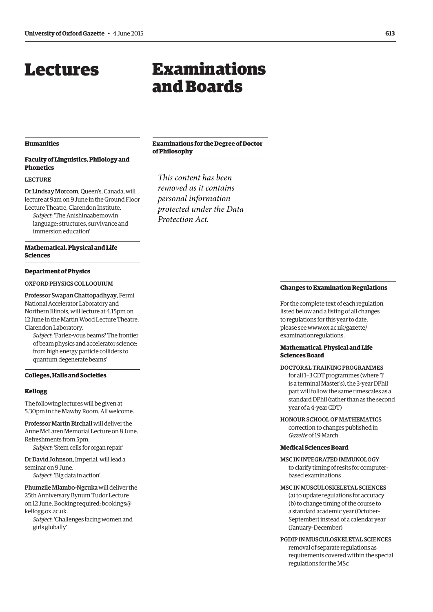# <span id="page-8-0"></span>Lectures

# Examinations and Boards

## **Humanities**

## **Faculty of Linguistics, Philology and Phonetics**

#### **LECTURE**

Dr Lindsay Morcom, Queen's, Canada, will lecture at 9am on 9 June in the Ground Floor Lecture Theatre, Clarendon Institute.

*Subject*: 'The Anishinaabemowin language: structures, survivance and immersion education'

## **Mathematical, Physical and Life Sciences**

#### **Department of Physics**

Oxford Physics Colloquium

Professor Swapan Chattopadhyay, Fermi National Accelerator Laboratory and Northern Illinois, will lecture at 4.15pm on 12 June in the Martin Wood Lecture Theatre, Clarendon Laboratory.

*Subject*: 'Parlez-vous beams? The frontier of beam physics and accelerator science: from high energy particle colliders to quantum degenerate beams'

#### **Colleges, Halls and Societies**

#### **Kellogg**

The following lectures will be given at 5.30pm in the Mawby Room. All welcome.

Professor Martin Birchall will deliver the Anne McLaren Memorial Lecture on 8 June. Refreshments from 5pm. *Subject*: 'Stem cells for organ repair'

Dr David Johnson, Imperial, will lead a seminar on 9 June. *Subject*: 'Big data in action'

Phumzile Mlambo-Ngcuka will deliver the 25th Anniversary Bynum Tudor Lecture [on 12 June. Booking required: bookings@](mailto:bookings@kellogg.ox.ac.uk) kellogg.ox.ac.uk.

*Subject*: 'Challenges facing women and girls globally'

## **Examinations for the Degree of Doctor of Philosophy**

*This content has been removed as it contains personal information protected under the Data Protection Act.*

#### **Changes to Examination Regulations**

For the complete text of each regulation listed below and a listing of all changes to regulations for this year to date, [please see www.ox.ac.uk/gazette/](www.ox.ac.uk/gazette/examinationregulations) examinationregulations.

## **Mathematical, Physical and Life Sciences Board**

- Doctoral Training Programmes for all 1+3 CDT programmes (where '1' is a terminal Master's), the 3-year DPhil part will follow the same timescales as a standard DPhil (rather than as the second year of a 4-year CDT)
- Honour School of Mathematics correction to changes published in *Gazette* of 19 March

## **Medical Sciences Board**

- MSC IN INTEGRATED IMMUNOLOGY to clarify timing of resits for computerbased examinations
- MSc in Musculoskeletal Sciences (a) to update regulations for accuracy (b) to change timing of the course to a standard academic year (October– September) instead of a calendar year (January–December)
- PGDip in Musculoskeletal Sciences removal of separate regulations as requirements covered within the special regulations for the MSc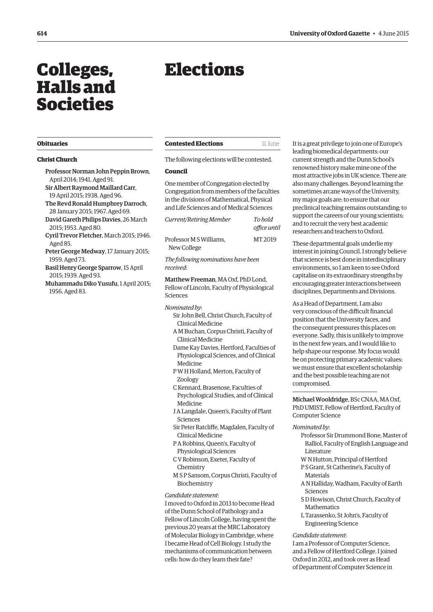# <span id="page-9-0"></span>Colleges, Halls and Societies

# Elections

#### **Obituaries**

#### **Christ Church**

- Professor Norman John Peppin Brown, April 2014; 1941. Aged 91. Sir Albert Raymond Maillard Carr, 19 April 2015; 1938. Aged 96. The Revd Ronald Humphrey Darroch,
- 28 January 2015; 1967. Aged 69. David Gareth Philips Davies, 26 March 2015; 1953. Aged 80.
- Cyril Trevor Fletcher, March 2015; 1946. Aged 85.
- Peter George Medway, 17 January 2015; 1959. Aged 73.
- Basil Henry George Sparrow, 15 April 2015; 1939. Aged 93.
- Muhammadu Diko Yusufu, 1 April 2015; 1956. Aged 83.

## **Contested Elections** 11 June

The following elections will be contested.

## **Council**

One member of Congregation elected by Congregation from members of the faculties in the divisions of Mathematical, Physical and Life Sciences and of Medical Sciences

| Current/Retiring Member                | To bold<br>office until |
|----------------------------------------|-------------------------|
| Professor M S Williams.<br>New College | MT <sub>2019</sub>      |
|                                        |                         |

*The following nominations have been received*:

Matthew Freeman, MAOxf, PhDLond, Fellow of Lincoln, Faculty of Physiological Sciences

*Nominated by*:

- Sir John Bell, Christ Church, Faculty of Clinical Medicine
- A M Buchan, Corpus Christi, Faculty of Clinical Medicine
- Dame Kay Davies, Hertford, Faculties of Physiological Sciences, and of Clinical Medicine
- P W H Holland, Merton, Faculty of Zoology
- C Kennard, Brasenose, Faculties of Psychological Studies, and of Clinical Medicine
- JALangdale, Queen's, Faculty of Plant Sciences
- Sir Peter Ratcliffe, Magdalen, Faculty of Clinical Medicine
- P ARobbins, Queen's, Faculty of Physiological Sciences
- C V Robinson, Exeter, Faculty of Chemistry
- M S P Sansom, Corpus Christi, Faculty of Biochemistry

#### *Candidate statement*:

I moved to Oxford in 2013 to become Head of the Dunn School of Pathology and a Fellow of Lincoln College, having spent the previous 20 years at the MRC Laboratory of Molecular Biology in Cambridge, where I became Head of Cell Biology. I study the mechanisms of communication between cells: how do they learn their fate?

It is a great privilege to join one of Europe's leading biomedical departments: our current strength and the Dunn School's renowned history make mine one of the most attractive jobs in UK science. There are also many challenges. Beyond learning the sometimes arcane ways of the University, my major goals are: to ensure that our preclinical teaching remains outstanding; to support the careers of our young scientists; and to recruit the very best academic researchers and teachers to Oxford.

These departmental goals underlie my interest in joining Council. I strongly believe that science is best done in interdisciplinary environments, so I am keen to see Oxford capitalise on its extraordinary strengths by encouraging greater interactions between disciplines, Departments and Divisions.

As a Head of Department, I am also very conscious of the difficult financial position that the University faces, and the consequent pressures this places on everyone. Sadly, this is unlikely to improve in the next few years, and I would like to help shape our response. My focus would be on protecting primary academic values: we must ensure that excellent scholarship and the best possible teaching are not compromised.

Michael Wooldridge, BSc CNAA, MAOxf, PhDUMIST, Fellow of Hertford, Faculty of Computer Science

#### *Nominated by*:

- Professor Sir Drummond Bone, Master of Balliol, Faculty of English Language and Literature
- W N Hutton, Principal of Hertford P S Grant, St Catherine's, Faculty of
- **Materials**
- A N Halliday, Wadham, Faculty of Earth Sciences
- SD Howison, Christ Church, Faculty of Mathematics
- L Tarassenko, St John's, Faculty of Engineering Science

#### *Candidate statement*:

I am a Professor of Computer Science, and a Fellow of Hertford College. I joined Oxford in 2012, and took over as Head of Department of Computer Science in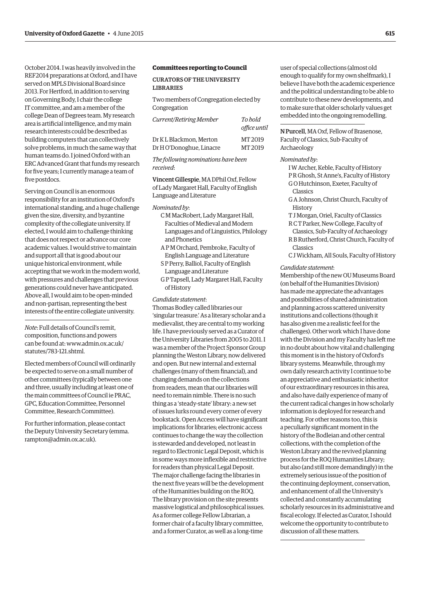October 2014. I was heavily involved in the REF2014 preparations at Oxford, and I have served on MPLS Divisional Board since 2013. For Hertford, in addition to serving on Governing Body, I chair the college IT committee, and am a member of the college Dean of Degrees team. My research area is artificial intelligence, and my main research interests could be described as building computers that can collectively solve problems, in much the same way that human teams do. I joined Oxford with an ERC Advanced Grant that funds my research for five years; I currently manage a team of five postdocs.

Serving on Council is an enormous responsibility for an institution of Oxford's international standing, and a huge challenge given the size, diversity, and byzantine complexity of the collegiate university. If elected, I would aim to challenge thinking that does not respect or advance our core academic values. I would strive to maintain and support all that is good about our unique historical environment, while accepting that we work in the modern world, with pressures and challenges that previous generations could never have anticipated. Above all, I would aim to be open-minded and non-partisan, representing the best interests of the entire collegiate university.

*Note*: Full details of Council's remit, composition, functions and powers [can be found at: www.admin.ox.ac.uk/](www.admin.ox.ac.uk/statutes/783-121.shtml) statutes/783-121.shtml.

Elected members of Council will ordinarily be expected to serve on a small number of other committees (typically between one and three, usually including at least one of the main committees of Council ie PRAC, GPC, Education Committee, Personnel Committee, Research Committee).

For further information, please contact [the Deputy University Secretary \(emma.](mailto:emma.rampton@admin.ox.ac.uk) rampton@admin.ox.ac.uk).

#### **Committees reporting to Council**

Curators of the University **LIBRARIES** 

Two members of Congregation elected by Congregation

| Current/Retiring Member  | To hold<br>office until |
|--------------------------|-------------------------|
| Dr K L Blackmon. Merton  | MT 2019                 |
| Dr H O'Donoghue, Linacre | MT 2019                 |
|                          |                         |

*The following nominations have been received*:

Vincent Gillespie, MADPhil Oxf, Fellow of Lady Margaret Hall, Faculty of English Language and Literature

*Nominated by*:

- C M MacRobert, Lady Margaret Hall, Faculties of Medieval and Modern Languages and of Linguistics, Philology and Phonetics
- A P M Orchard, Pembroke, Faculty of English Language and Literature
- S P Perry, Balliol, Faculty of English Language and Literature
- G P Tapsell, Lady Margaret Hall, Faculty of History

## *Candidate statement*:

Thomas Bodley called libraries our 'singular treasure.' As a literary scholar and a medievalist, they are central to my working life. I have previously served as a Curator of the University Libraries from 2005 to 2011. I was a member of the Project Sponsor Group planning the Weston Library, now delivered and open. But new internal and external challenges (many of them financial), and changing demands on the collections from readers, mean that our libraries will need to remain nimble. There is no such thing as a 'steady-state' library: a new set of issues lurks round every corner of every bookstack. Open Access will have significant implications for libraries; electronic access continues to change the way the collection is stewarded and developed, not least in regard to Electronic Legal Deposit, which is in some ways more inflexible and restrictive for readers than physical Legal Deposit. The major challenge facing the libraries in the next five years will be the development of the Humanities building on the ROQ. The library provision on the site presents massive logistical and philosophical issues. As a former college Fellow Librarian, a former chair of a faculty library committee, and a former Curator, as well as a long-time

user of special collections (almost old enough to qualify for my own shelfmark), I believe I have both the academic experience and the political understanding to be able to contribute to these new developments, and to make sure that older scholarly values get embedded into the ongoing remodelling.

N Purcell, MAOxf, Fellow of Brasenose, Faculty of Classics, Sub-Faculty of Archaeology

#### *Nominated by*:

I W Archer, Keble, Faculty of History P R Ghosh, St Anne's, Faculty of History G O Hutchinson, Exeter, Faculty of Classics

- G AJohnson, Christ Church, Faculty of **History**
- T J Morgan, Oriel, Faculty of Classics
- R C T Parker, New College, Faculty of Classics, Sub-Faculty of Archaeology
- R B Rutherford, Christ Church, Faculty of Classics
- C J Wickham, All Souls, Faculty of History

## *Candidate statement*:

Membership of the new OU Museums Board (on behalf of the Humanities Division) has made me appreciate the advantages and possibilities of shared administration and planning across scattered university institutions and collections (though it has also given me a realistic feel for the challenges). Other work which I have done with the Division and my Faculty has left me in no doubt about how vital and challenging this moment is in the history of Oxford's library systems. Meanwhile, through my own daily research activity I continue to be an appreciative and enthusiastic inheritor of our extraordinary resources in this area, and also have daily experience of many of the current radical changes in how scholarly information is deployed for research and teaching. For other reasons too, this is a peculiarly significant moment in the history of the Bodleian and other central collections, with the completion of the Weston Library and the revived planning process for the ROQ Humanities Library; but also (and still more demandingly) in the extremely serious issue of the position of the continuing deployment, conservation, and enhancement of all the University's collected and constantly accumulating scholarly resources in its administrative and fiscal ecology. If elected as Curator, I should welcome the opportunity to contribute to discussion of all these matters.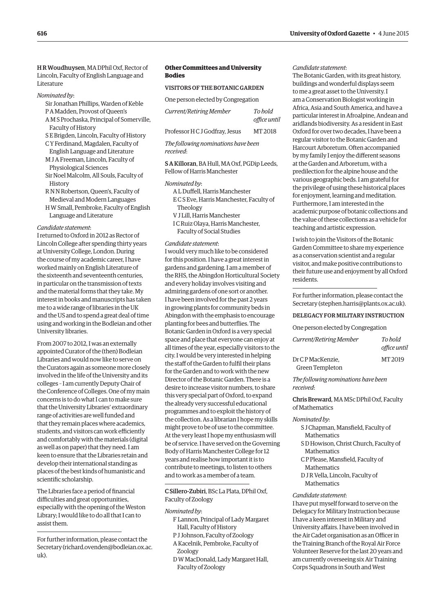H R Woudhuysen, MADPhil Oxf, Rector of Lincoln, Faculty of English Language and Literature

- *Nominated by*:
	- Sir Jonathan Phillips, Warden of Keble
	- P A Madden, Provost of Queen's
	- A M S Prochaska, Principal of Somerville, Faculty of History
	- S E Brigden, Lincoln, Faculty of History C Y Ferdinand, Magdalen, Faculty of
	- English Language and Literature M JA Freeman, Lincoln, Faculty of
	- Physiological Sciences Sir Noel Malcolm, All Souls, Faculty of **History**
	- R N N Robertson, Queen's, Faculty of Medieval and Modern Languages
	- H W Small, Pembroke, Faculty of English Language and Literature

#### *Candidate statement*:

I returned to Oxford in 2012 as Rector of Lincoln College after spending thirty years at University College, London. During the course of my academic career, I have worked mainly on English Literature of the sixteenth and seventeenth centuries, in particular on the transmission of texts and the material forms that they take. My interest in books and manuscripts has taken me to a wide range of libraries in the UK and the US and to spend a great deal of time using and working in the Bodleian and other University libraries.

From 2007 to 2012, I was an externally appointed Curator of the (then) Bodleian Libraries and would now like to serve on the Curators again as someone more closely involved in the life of the University and its colleges – I am currently Deputy Chair of the Conference of Colleges. One of my main concerns is to do what I can to make sure that the University Libraries' extraordinary range of activities are well funded and that they remain places where academics, students, and visitors can work efficiently and comfortably with the materials (digital as well as on paper) that they need. I am keen to ensure that the Libraries retain and develop their international standing as places of the best kinds of humanistic and scientific scholarship.

The Libraries face a period of financial difficulties and great opportunities, especially with the opening of the Weston Library; I would like to do all that I can to assist them.

For further information, please contact the [Secretary \(richard.ovenden@bodleian.ox.ac.](mailto:richard.ovenden@bodleian.ox.ac.uk)  $_{11}k$ ).

## **Other Committees and University Bodies**

#### Visitors of the Botanic Garden

One person elected by Congregation

| Current/Retiring Member        | To bold<br>office until |
|--------------------------------|-------------------------|
| Professor H C J Godfray, Jesus | MT <sub>2018</sub>      |

## *The following nominations have been received*:

S A Killoran, BA Hull, MAOxf, PGDip Leeds, Fellow of Harris Manchester

#### *Nominated by*:

ALDuffell, Harris Manchester E C S Eve, Harris Manchester, Faculty of Theology V J Lill, Harris Manchester

I C Ruiz Olaya, Harris Manchester, Faculty of Social Studies

## *Candidate statement*:

I would very much like to be considered for this position. I have a great interest in gardens and gardening. I am a member of the RHS, the Abingdon Horticultural Society and every holiday involves visiting and admiring gardens of one sort or another. I have been involved for the past 2 years in growing plants for community beds in Abingdon with the emphasis to encourage planting for bees and butterflies. The Botanic Garden in Oxford is a very special space and place that everyone can enjoy at all times of the year, especially visitors to the city. I would be very interested in helping the staff of the Garden to fulfil their plans for the Garden and to work with the new Director of the Botanic Garden. There is a desire to increase visitor numbers, to share this very special part of Oxford, to expand the already very successful educational programmes and to exploit the history of the collection. As a librarian I hope my skills might prove to be of use to the committee. At the very least I hope my enthusiasm will be of service. I have served on the Governing Body of Harris Manchester College for 12 years and realise how important it is to contribute to meetings, to listen to others and to work as a member of a team.

C Sillero-Zubiri, BSc La Plata, DPhil Oxf, Faculty of Zoology

*Nominated by*:

- F Lannon, Principal of Lady Margaret Hall, Faculty of History
- P J Johnson, Faculty of Zoology
- A Kacelnik, Pembroke, Faculty of Zoology
- D W MacDonald, Lady Margaret Hall, Faculty of Zoology

## *Candidate statement*:

The Botanic Garden, with its great history, buildings and wonderful displays seem to me a great asset to the University. I am a Conservation Biologist working in Africa, Asia and South America, and have a particular interest in Afroalpine, Andean and aridlands biodiversity. As a resident in East Oxford for over two decades, I have been a regular visitor to the Botanic Garden and Harcourt Arboretum. Often accompanied by my family I enjoy the different seasons at the Garden and Arboretum, with a predilection for the alpine house and the various geographic beds. I am grateful for the privilege of using these historical places for enjoyment, learning and meditation. Furthermore, I am interested in the academic purpose of botanic collections and the value of these collections as a vehicle for teaching and artistic expression.

I wish to join the Visitors of the Botanic Garden Committee to share my experience as a conservation scientist and a regular visitor, and make positive contributions to their future use and enjoyment by all Oxford residents.

For further information, please contact the Secretary (stephen.harris@plants.ox.ac.uk).

#### Delegacy for Military Instruction

One person elected by Congregation

| Current/Retiring Member | To bold<br>office until |
|-------------------------|-------------------------|
| Dr CP MacKenzie,        | MT 2019                 |
| Green Templeton         |                         |

*The following nominations have been received*:

Chris Breward, MA MSc DPhil Oxf, Faculty of Mathematics

#### *Nominated by*:

S J Chapman, Mansfield, Faculty of **Mathematics** SD Howison, Christ Church, Faculty of **Mathematics** C P Please, Mansfield, Faculty of Mathematics DJR Vella, Lincoln, Faculty of Mathematics

#### *Candidate statement*:

I have put myself forward to serve on the Delegacy for Military Instruction because I have a keen interest in Military and University affairs. I have been involved in the Air Cadet organisation as an Officer in the Training Branch of the Royal Air Force Volunteer Reserve for the last 20 years and am currently overseeing six Air Training Corps Squadrons in South and West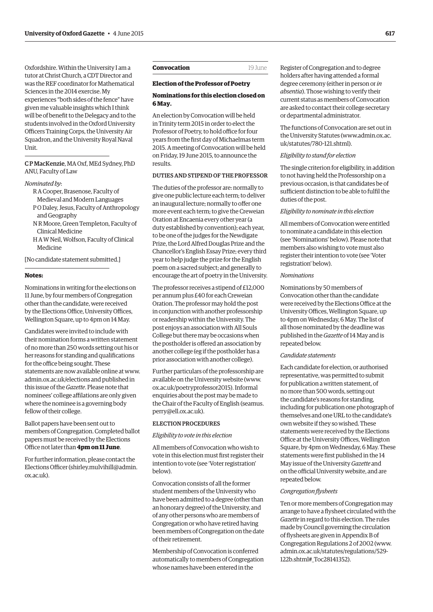<span id="page-12-0"></span>Oxfordshire. Within the University I am a tutor at Christ Church, a CDT Director and was the REF coordinator for Mathematical Sciences in the 2014 exercise. My experiences "both sides of the fence" have given me valuable insights which I think will be of benefit to the Delegacy and to the students involved in the Oxford University Officers Training Corps, the University Air Squadron, and the University Royal Naval Unit.

## C P MacKenzie, MAOxf, MEd Sydney, PhD ANU, Faculty of Law

#### *Nominated by*:

- RA Cooper, Brasenose, Faculty of Medieval and Modern Languages
- P ODaley, Jesus, Faculty of Anthropology and Geography
- N R Moore, Green Templeton, Faculty of Clinical Medicine
- H A W Neil, Wolfson, Faculty of Clinical Medicine

[No candidate statement submitted.]

## **Notes:**

Nominations in writing for the elections on 11 June, by four members of Congregation other than the candidate, were received by the Elections Office, University Offices, Wellington Square, up to 4pm on 14 May.

Candidates were invited to include with their nomination forms a written statement of no more than 250 words setting out his or her reasons for standing and qualifications for the office being sought. These [statements are now available online at www.](www.admin.ox.ac.uk/elections) admin.ox.ac.uk/elections and published in this issue of the *Gazette*. Please note that nominees' college affilations are only given where the nominee is a governing body fellow of their college.

Ballot papers have been sent out to members of Congregation. Completed ballot papers must be received by the Elections Office not later than **4pm on 11 June**.

For further information, please contact the [Elections Officer \(shirley.mulvihill@admin.](mailto:shirley.mulvihill@admin.ox.ac.uk) ox.ac.uk).

## **Convocation** 19 June

#### **Election of the Professor of Poetry**

## **Nominations for this election closed on 6 May.**

An election by Convocation will be held in Trinity term 2015 in order to elect the Professor of Poetry, to hold office for four years from the first day of Michaelmas term 2015. A meeting of Convocation will be held on Friday, 19 June 2015, to announce the results.

## Duties and stipendof the Professor

The duties of the professor are: normally to give one public lecture each term; to deliver an inaugural lecture; normally to offer one more event each term; to give the Creweian Oration at Encaenia every other year (a duty established by convention); each year, to be one of the judges for the Newdigate Prize, the Lord Alfred Douglas Prize and the Chancellor's English Essay Prize; every third year to help judge the prize for the English poem on a sacred subject; and generally to encourage the art of poetry in the University.

The professor receives a stipend of £12,000 per annum plus £40 for each Creweian Oration. The professor may hold the post in conjunction with another professorship or readership within the University. The post enjoys an association with All Souls College but there may be occasions when the postholder is offered an association by another college (eg if the postholder has a prior association with another college).

Further particulars of the professorship are [available on the University website \(www.](www.ox.ac.uk/poetryprofessor2015) ox.ac.uk/poetryprofessor2015). Informal enquiries about the post may be made to [the Chair of the Faculty of English \(seamus.](mailto:seamus.perry@ell.ox.ac.uk) perry@ell.ox.ac.uk).

#### Election procedures

#### *Eligibility to vote in this election*

All members of Convocation who wish to vote in this election must first register their intention to vote (see 'Voter registration' below).

Convocation consists of all the former student members of the University who have been admitted to a degree (other than an honorary degree) of the University, and of any other persons who are members of Congregation or who have retired having been members of Congregation on the date of their retirement.

Membership of Convocation is conferred automatically to members of Congregation whose names have been entered in the

Register of Congregation and to degree holders after having attended a formal degree ceremony (either in person or *in absentia*). Those wishing to verify their current status as members of Convocation are asked to contact their college secretary or departmental administrator.

The functions of Convocation are set out in [the University Statutes \(www.admin.ox.ac.](www.admin.ox.ac.uk/statutes/780-121.shtml) uk/statutes/780-121.shtml).

## *Eligibility to stand for election*

The single criterion for eligibility, in addition to not having held the Professorship on a previous occasion, is that candidates be of sufficient distinction to be able to fulfil the duties of the post.

#### *Eligibility to nominate in this election*

All members of Convocation were entitled to nominate a candidate in this election (see 'Nominations' below). Please note that members also wishing to vote must also register their intention to vote (see 'Voter registration' below).

## *Nominations*

Nominations by 50 members of Convocation other than the candidate were received by the Elections Office at the University Offices, Wellington Square, up to 4pm on Wednesday, 6 May. The list of all those nominated by the deadline was published in the *Gazette* of 14 May and is repeated below.

## *Candidate statements*

Each candidate for election, or authorised representative, was permitted to submit for publication a written statement, of no more than 500 words, setting out the candidate's reasons for standing, including for publication one photograph of themselves and one URL to the candidate's own website if they so wished. These statements were received by the Elections Office at the University Offices, Wellington Square, by 4pm on Wednesday, 6 May. These statements were first published in the 14 May issue of the University *Gazette* and on the official University website, and are repeated below.

#### *Congregation flysheets*

Ten or more members of Congregation may arrange to have a flysheet circulated with the *Gazette* in regard to this election. The rules made by Council governing the circulation of flysheets are given in Appendix B of [Congregation Regulations 2 of 2002 \(www.](www.admin.ox.ac.uk/statutes/regulations/529-122b.shtml#_Toc28141352) admin.ox.ac.uk/statutes/regulations/529- 122b.shtml#\_Toc28141352).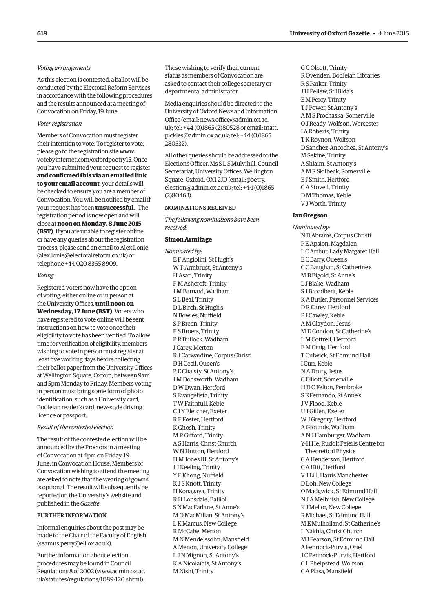## *Voting arrangements*

As this election is contested, a ballot will be conducted by the Electoral Reform Services in accordance with the following procedures and the results announced at a meeting of Convocation on Friday, 19 June.

## *Voter registration*

Members of Convocation must register their intention to vote. To register to vote, please go to the registration site www. [votebyinternet.com/oxfordpoetry15. Once](www.votebyinternet.com/oxfordpoetry15)  you have submitted your request to register **and confirmed this via an emailed link to your email account**, your details will be checked to ensure you are a member of Convocation. You will be notified by email if your request has been **unsuccessful**. The registration period is now open and will close at **noon on Monday, 8 June 2015 (BST)**. If you are unable to register online, or have any queries about the registration process, please send an email to Alex Lonie (alex.lonie@electoralreform.co.uk) or telephone +44 020 8365 8909.

#### *Voting*

Registered voters now have the option of voting, either online or in person at the University Offices, **until noon on Wednesday, 17 June (BST)**. Voters who have registered to vote online will be sent instructions on how to vote once their eligibility to vote has been verified. To allow time for verification of eligibility, members wishing to vote in person must register at least five working days before collecting their ballot paper from the University Offices at Wellington Square, Oxford, between 9am and 5pm Monday to Friday. Members voting in person must bring some form of photo identification, such as a University card, Bodleian reader's card, new-style driving licence or passport.

## *Result of the contested election*

The result of the contested election will be announced by the Proctors in a meeting of Convocation at 4pm on Friday, 19 June, in Convocation House. Members of Convocation wishing to attend the meeting are asked to note that the wearing of gowns is optional. The result will subsequently be reported on the University's website and published in the *Gazette*.

#### Further Information

Informal enquiries about the post may be made to the Chair of the Faculty of English (seamus.perry@ell.ox.ac.uk).

Further information about election procedures may be found in Council [Regulations 8 of 2002 \(www.admin.ox.ac.](www.admin.ox.ac.uk/statutes/regulations/1089-120.shtml) uk/statutes/regulations/1089-120.shtml).

Those wishing to verify their current status as members of Convocation are asked to contact their college secretary or departmental administrator.

Media enquiries should be directed to the University of Oxford News and Information [Office \(email: news.office@admin.ox.ac.](mailto:news.office@admin.ox.ac.uk) uk; tel: +44 (0)1865 (2)80528 or email: matt. [pickles@admin.ox.ac.uk; tel: +44](mailto:matt.pickles@admin.ox.ac.uk) (0)1865 280532).

All other queries should be addressed to the Elections Officer, Ms S L S Mulvihill, Council Secretariat, University Offices, Wellington Square, Oxford, OX1 2JD (email: poetry. [election@admin.ox.ac.uk; tel: +44 \(0\)1865](mailto:poetry.election@admin.ox.ac.uk)  (2)80463).

#### Nominations received

*The following nominations have been received*:

#### **Simon Armitage**

*Nominated by*: E F Angiolini, St Hugh's W T Armbrust, St Antony's H Asari, Trinity F M Ashcroft, Trinity J M Barnard, Wadham S L Beal, Trinity DL Birch, St Hugh's N Bowles, Nuffield S P Breen, Trinity F S Broers, Trinity P R Bullock, Wadham J Carey, Merton RJ Carwardine, Corpus Christi D H Cecil, Queen's P E Chaisty, St Antony's J M Dodsworth, Wadham D W Dwan, Hertford S Evangelista, Trinity T W Faithfull, Keble C J Y Fletcher, Exeter R F Foster, Hertford K Ghosh, Trinity M R Gifford, Trinity AS Harris, Christ Church W N Hutton, Hertford H M Jones III, St Antony's J J Keeling, Trinity Y F Khong, Nuffield K J S Knott, Trinity H Konagaya, Trinity R H Lonsdale, Balliol S N MacFarlane, St Anne's M O MacMillan, St Antony's L K Marcus, New College R McCabe, Merton M N Mendelssohn, Mansfield A Menon, University College L J N Mignon, St Antony's K A Nicolaïdis, St Antony's M Nishi, Trinity

G C Olcott, Trinity ROvenden, Bodleian Libraries RS Parker, Trinity J H Pellew, St Hilda's E M Percy, Trinity T J Power, St Antony's A M S Prochaska, Somerville OJReady, Wolfson, Worcester I ARoberts, Trinity T K Roynon, Wolfson DSanchez-Ancochea, St Antony's M Sekine, Trinity AShlaim, St Antony's A M F Skilbeck, Somerville E J Smith, Hertford C AStovell, Trinity D M Thomas, Keble V J Worth, Trinity

#### **Ian Gregson**

*Nominated by:* N DAbrams, Corpus Christi P EApsion, Magdalen L C Arthur, Lady Margaret Hall E C Barry, Queen's C C Baughan, St Catherine's M B Bigold, St Anne's L J Blake, Wadham S J Broadbent, Keble K A Butler, Personnel Services DR Carey, Hertford P J Cawley, Keble A M Claydon, Jesus M D Condon, St Catherine's L M Cottrell, Hertford E M Craig, Hertford T Culwick, St Edmund Hall I Curr, Keble N ADrury, Jesus C Elliott, Somerville H D C Felton, Pembroke S E Fernando, St Anne's J V Flood, Keble UJ Gillen, Exeter W J Gregory, Hertford A Grounds, Wadham A N J Hamburger, Wadham Y-H He, Rudolf Peierls Centre for Theoretical Physics C A Henderson, Hertford C A Hitt, Hertford V J Lill, Harris Manchester DLoh, New College O Madgwick, St Edmund Hall N JA Melhuish, New College K J Mellor, New College R Michael, St Edmund Hall M E Mulholland, St Catherine's L Nakhla, Christ Church M I Pearson, St Edmund Hall A Pennock-Purvis, Oriel J C Pennock-Purvis, Hertford C L Phelpstead, Wolfson C A Plasa, Mansfield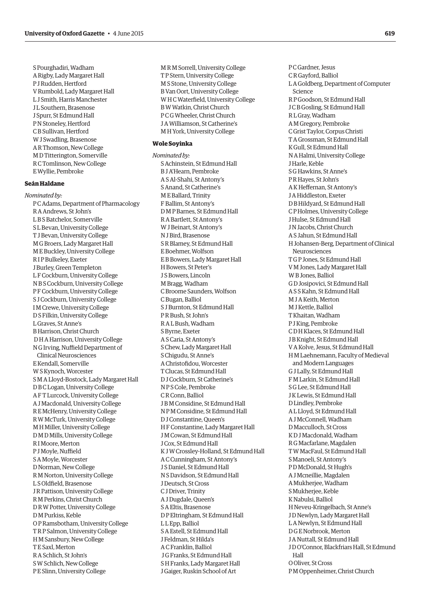S Pourghadiri, Wadham ARigby, Lady Margaret Hall P JRudden, Hertford V Rumbold, Lady Margaret Hall L J Smith, Harris Manchester J L Southern, Brasenose J Spurr, St Edmund Hall PN Stoneley, Hertford C B Sullivan, Hertford W J Swadling, Brasenose AR Thomson, New College M D Titterington, Somerville R C Tomlinson, New College E Wyllie, Pembroke

## **Seán Haldane**

*Nominated by:* P C Adams, Department of Pharmacology RAAndrews, St John's L B S Batchelor, Somerville S L Bevan, University College T J Bevan, University College M G Broers, Lady Margaret Hall M E Buckley, University College R I P Bulkeley, Exeter J Burley, Green Templeton L F Cockburn, University College N B S Cockburn, University College P F Cockburn, University College S J Cockburn, University College I M Crewe, University College DS Filkin, University College L Graves, St Anne's B Harrison, Christ Church D H A Harrison, University College N G Irving, Nuffield Department of Clinical Neurosciences E Kendall, Somerville W S Kynoch, Worcester S M ALloyd-Bostock, Lady Margaret Hall D B C Logan, University College A F T Lurcock, University College AJ Macdonald, University College RE McHenry, University College R W McTurk, University College M H Miller, University College D M D Mills, University College R I Moore, Merton P J Moyle, Nuffield SA Moyle, Worcester D Norman, New College R M Norton, University College L SOldfield, Brasenose JR Pattison, University College R M Perkins, Christ Church DR W Potter, University College D M Purkiss, Keble O P Ramsbotham, University College T R P Salmon, University College H M Sansbury, New College T E Saxl, Merton RASchlich, St John's S W Schlich, New College P E Slinn, University College

M R M Sorrell, University College T P Stern, University College M S Stone, University College B Van Oort, University College W H C Waterfield, University College B W Watkin, Christ Church P C G Wheeler, Christ Church JA Williamson, St Catherine's M H York, University College

## **Wole Soyinka**

*Nominated by:* SAchinstein, St Edmund Hall B JA'Hearn, Pembroke ASAl-Shahi, St Antony's SAnand, St Catherine's M E Ballard, Trinity F Ballim, St Antony's D M P Barnes, St Edmund Hall RA Bartlett, St Antony's W J Beinart, St Antony's N J Bird, Brasenose SR Blamey, St Edmund Hall E Boehmer, Wolfson E B Bowers, Lady Margaret Hall H Bowers, St Peter's J S Bowers, Lincoln M Bragg, Wadham C Broome Saunders, Wolfson C Bugan, Balliol S J Burnton, St Edmund Hall P R Bush, St John's RAL Bush, Wadham S Byrne, Exeter AS Caria, St Antony's S Chew, Lady Margaret Hall S Chigudu, St Anne's A Christofidou, Worcester T Clucas, St Edmund Hall DJ Cockburn, St Catherine's N P S Cole, Pembroke C R Conn, Balliol J B M Considine, St Edmund Hall N P M Considine, St Edmund Hall DJ Constantine, Queen's H F Constantine, Lady Margaret Hall J M Cowan, St Edmund Hall J Cox, St Edmund Hall K J W Crossley-Holland, St Edmund Hall A C Cunningham, St Antony's J SDaniel, St Edmund Hall N SDavidson, St Edmund Hall JDeutsch, St Cross C JDriver, Trinity AJDugdale, Queen's SAEltis, Brasenose D P Eltringham, St Edmund Hall L L Epp, Balliol SAEstell, St Edmund Hall J Feldman, St Hilda's A C Franklin, Balliol J G Franks, St Edmund Hall S H Franks, Lady Margaret Hall J Gaiger, Ruskin School of Art

P C Gardner, Jesus C R Gayford, Balliol LA Goldberg, Department of Computer Science R P Goodson, St Edmund Hall J C B Gosling, St Edmund Hall RL Gray, Wadham A M Gregory, Pembroke C Grist Taylor, Corpus Christi T A Grossman, St Edmund Hall K Gull, St Edmund Hall N A Halmi, University College J Harle, Keble S G Hawkins, St Anne's P R Hayes, St John's A K Heffernan, St Antony's JA Hiddleston, Exeter D B Hildyard, St Edmund Hall C P Holmes, University College J Hulse, St Edmund Hall J N Jacobs, Christ Church AS Jahun, St Edmund Hall H Johansen-Berg, Department of Clinical Neurosciences T G P Jones, St Edmund Hall V M Jones, Lady Margaret Hall W B Jones, Balliol G DJosipovici, St Edmund Hall AS S Kahn, St Edmund Hall M JA Keith, Merton M J Kettle, Balliol T Khaitan, Wadham P J King, Pembroke C D H Klaces, St Edmund Hall J B Knight, St Edmund Hall V A Kolve, Jesus, St Edmund Hall H M Laehnemann, Faculty of Medieval and Modern Languages G J Lally, St Edmund Hall F M Larkin, St Edmund Hall S G Lee, St Edmund Hall J K Lewis, St Edmund Hall DLindley, Pembroke AL Lloyd, St Edmund Hall AJ McConnell, Wadham D Macculloch, St Cross K DJ Macdonald, Wadham R G Macfarlane, Magdalen T W MacFaul, St Edmund Hall S Manoeli, St Antony's P D McDonald, St Hugh's AJ Mcneillie, Magdalen A Mukherjee, Wadham S Mukherjee, Keble K Nabulsi, Balliol H Neveu-Kringelbach, St Anne's JD Newlyn, Lady Margaret Hall LA Newlyn, St Edmund Hall D G E Norbrook, Merton JA Nuttall, St Edmund Hall JDO'Connor, Blackfriars Hall, St Edmund Hall OOliver, St Cross P M Oppenheimer, Christ Church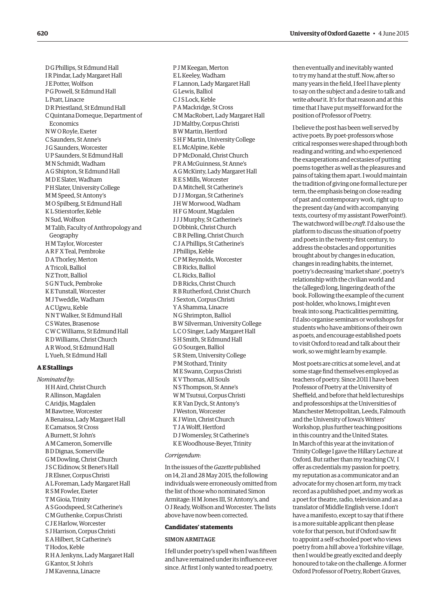D G Phillips, St Edmund Hall I R Pindar, Lady Margaret Hall J E Potter, Wolfson P G Powell, St Edmund Hall L Pratt, Linacre DR Priestland, St Edmund Hall C Quintana Domeque, Department of Economics N W ORoyle, Exeter C Saunders, St Anne's J G Saunders, Worcester U P Saunders, St Edmund Hall M N Schmidt, Wadham A G Shipton, St Edmund Hall M DE Slater, Wadham P H Slater, University College M M Speed, St Antony's M OSpilberg, St Edmund Hall K L Stierstorfer, Keble N Sud, Wolfson M Talib, Faculty of Anthropology and Geography H M Taylor, Worcester AR F X Teal, Pembroke DA Thorley, Merton A Tricoli, Balliol N Z Trott, Balliol S G N Tuck, Pembroke K E Tunstall, Worcester M J Tweddle, Wadham A C Ugwu, Keble N N T Walker, St Edmund Hall C S Wates, Brasenose C W C Williams, St Edmund Hall RD Williams, Christ Church AR Wood, St Edmund Hall L Yueh, St Edmund Hall

## **A E Stallings**

*Nominated by*: H H Aird, Christ Church RAllinson, Magdalen C Aridjis, Magdalen M Bawtree, Worcester A Benaissa, Lady Margaret Hall E Camatsos, St Cross A Burnett, St John's A M Cameron, Somerville B DDignas, Somerville G M Dowling, Christ Church J S C Eidinow, St Benet's Hall JRElsner, Corpus Christi AL Foreman, Lady Margaret Hall RS M Fowler, Exeter T M Gioia, Trinity AS Goodspeed, St Catherine's C M Guthenke, Corpus Christi C J E Harlow, Worcester S J Harrison, Corpus Christi EA Hilbert, St Catherine's T Hodos, Keble R H AJenkyns, Lady Margaret Hall G Kantor, St John's J M Kavenna, Linacre

P J M Keegan, Merton E L Keeley, Wadham F Lannon, Lady Margaret Hall G Lewis, Balliol C J S Lock, Keble P A Mackridge, St Cross C M MacRobert, Lady Margaret Hall JD Maltby, Corpus Christi B W Martin, Hertford S H F Martin, University College E L McAlpine, Keble D P McDonald, Christ Church P RA McGuinness, St Anne's A G McKinty, Lady Margaret Hall RE S Mills, Worcester DA Mitchell, St Catherine's DJ J Morgan, St Catherine's J H W Morwood, Wadham H F G Mount, Magdalen J J J Murphy, St Catherine's DObbink, Christ Church C B R Pelling, Christ Church C JA Phillips, St Catherine's J Phillips, Keble C P M Reynolds, Worcester C B Ricks, Balliol C LRicks, Balliol D B Ricks, Christ Church R B Rutherford, Christ Church J Sexton, Corpus Christi Y AShamma, Linacre N G Shrimpton, Balliol B W Silverman, University College L C OSinger, Lady Margaret Hall S H Smith, St Edmund Hall G OSourgen, Balliol SRStem, University College P M Stothard, Trinity M E Swann, Corpus Christi K V Thomas, All Souls N S Thompson, St Anne's W M Tsutsui, Corpus Christi K R Van Dyck, St Antony's J Weston, Worcester K J Winn, Christ Church T JA Wolff, Hertford DJ Womersley, St Catherine's K E Woodhouse-Beyer, Trinity

#### *Corrigendum*:

In the issues of the *Gazette* published on 14, 21 and 28 May 2015, the following individuals were erroneously omitted from the list of those who nominated Simon Armitage: H M Jones III, St Antony's, and OJReady, Wolfson and Worcester. The lists above have now been corrected.

#### **Candidates' statements**

#### Simon Armitage

I fell under poetry's spell when I was fifteen and have remained under its influence ever since. At first I only wanted to read poetry,

then eventually and inevitably wanted to try my hand at the stuff. Now, after so many years in the field, I feel I have plenty to say on the subject and a desire to talk and write *about* it. It's for that reason and at this time that I have put myself forward for the position of Professor of Poetry.

I believe the post has been well served by active poets. By poet-professors whose critical responses were shaped through both reading and writing, and who experienced the exasperations and ecstasies of putting poems together as well as the pleasures and pains of taking them apart. I would maintain the tradition of giving one formal lecture per term, the emphasis being on close reading of past and contemporary work, right up to the present day (and with accompanying texts, courtesy of my assistant PowerPoint!). The watchword will be *craft*. I'd also use the platform to discuss the situation of poetry and poets in the twenty-first century, to address the obstacles and opportunities brought about by changes in education, changes in reading habits, the internet, poetry's decreasing 'market share', poetry's relationship with the civilian world and the (alleged) long, lingering death of the book. Following the example of the current post-holder, who knows, I might even break into song. Practicalities permitting, I'd also organise seminars or workshops for students who have ambitions of their own as poets, and encourage established poets to visit Oxford to read and talk about their work, so we might learn by example.

Most poets are critics at some level, and at some stage find themselves employed as teachers of poetry. Since 2011 I have been Professor of Poetry at the University of Sheffield, and before that held lectureships and professorships at the Universities of Manchester Metropolitan, Leeds, Falmouth and the University of Iowa's Writers' Workshop, plus further teaching positions in this country and the United States. In March of this year at the invitation of Trinity College I gave the Hillary Lecture at Oxford. But rather than my teaching CV, I offer as credentials my passion for poetry, my reputation as a communicator and an advocate for my chosen art form, my track record as a published poet, and my work as a poet for theatre, radio, television and as a translator of Middle English verse. I don't have a manifesto, except to say that if there is a more suitable applicant then please vote for that person, but if Oxford saw fit to appoint a self-schooled poet who views poetry from a hill above a Yorkshire village, then I would be greatly excited and deeply honoured to take on the challenge. A former Oxford Professor of Poetry, Robert Graves,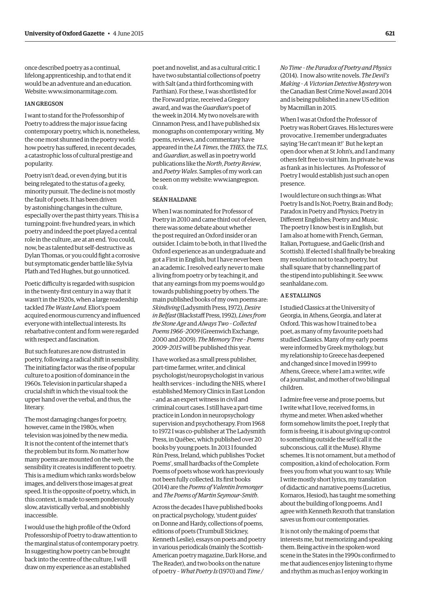once described poetry as a continual, lifelong apprenticeship, and to that end it would be an adventure and an education. Website: www.simonarmitage.com.

#### Ian Gregson

I want to stand for the Professorship of Poetry to address the major issue facing contemporary poetry, which is, nonetheless, the one most shunned in the poetry world: how poetry has suffered, in recent decades, a catastrophic loss of cultural prestige and popularity.

Poetry isn't dead, or even dying, but it is being relegated to the status of a geeky, minority pursuit. The decline is not mostly the fault of poets. It has been driven by astonishing changes in the culture, especially over the past thirty years. This is a turning point: five hundred years, in which poetry and indeed the poet played a central role in the culture, are at an end. You could, now, be as talented but self-destructive as Dylan Thomas, or you could fight a corrosive but symptomatic gender battle like Sylvia Plath and Ted Hughes, but go unnoticed.

Poetic difficulty is regarded with suspicion in the twenty-first century in a way that it wasn't in the 1920s, when a large readership tackled *The Waste Land*. Eliot's poem acquired enormous currency and influenced everyone with intellectual interests. Its rebarbative content and form were regarded with respect and fascination.

But such features are now distrusted in poetry, following a radical shift in sensibility. The initiating factor was the rise of popular culture to a position of dominance in the 1960s. Television in particular shaped a crucial shift in which the visual took the upper hand over the verbal, and thus, the literary.

The most damaging changes for poetry, however, came in the 1980s, when television was joined by the new media. It is not the content of the internet that's the problem but its form. No matter how many poems are mounted on the web, the sensibility it creates is indifferent to poetry. This is a medium which ranks words below images, and delivers those images at great speed. It is the opposite of poetry, which, in this context, is made to seem ponderously slow, atavistically verbal, and snobbishly inaccessible.

I would use the high profile of the Oxford Professorship of Poetry to draw attention to the marginal status of contemporary poetry. In suggesting how poetry can be brought back into the centre of the culture, I will draw on my experience as an established

poet and novelist, and as a cultural critic. I have two substantial collections of poetry with Salt (and a third forthcoming with Parthian). For these, I was shortlisted for the Forward prize, received a Gregory award, and was the *Guardian*'s poet of the week in 2014. My two novels are with Cinnamon Press, and I have published six monographs on contemporary writing. My poems, reviews, and commentary have appeared in the *LA Times*, the *THES*, the *TLS*, and *Guardian*, as well as in poetry world publications like the *North*, *Poetry Review*, and *Poetry Wales*. Samples of my work can [be seen on my website: www.iangregson.](www.iangregson.co.uk) co.uk.

#### Seán Haldane

When I was nominated for Professor of Poetry in 2010 and came third out of eleven, there was some debate about whether the post required an Oxford insider or an outsider. I claim to be both, in that I lived the Oxford experience as an undergraduate and got a First in English, but I have never been an academic. I resolved early never to make a living from poetry or by teaching it, and that any earnings from my poems would go towards publishing poetry by others. The main published books of my own poems are: *Skindiving* (Ladysmith Press, 1972), *Desire in Belfast* (Blackstaff Press, 1992), *Lines from the Stone Age* and *Always Two – Collected Poems1966–2009* (Greenwich Exchange, 2000 and 2009). *The Memory Tree – Poems 2009–2015* will be published this year.

I have worked as a small press publisher, part-time farmer, writer, and clinical psychologist/neuropsychologist in various health services – including the NHS, where I established Memory Clinics in East London – and as an expert witness in civil and criminal court cases. I still have a part-time practice in London in neuropsychology supervision and psychotherapy. From 1968 to 1972 I was co-publisher at The Ladysmith Press, in Québec, which published over 20 books by young poets. In 2013 I founded Rún Press, Ireland, which publishes 'Pocket Poems', small hardbacks of the Complete Poems of poets whose work has previously not been fully collected. Its first books (2014) are the *Poems of Valentin Iremonger* and *The Poems of Martin Seymour-Smith*.

Across the decades I have published books on practical psychology, 'student guides' on Donne and Hardy, collections of poems, editions of poets (Trumbull Stickney, Kenneth Leslie), essays on poets and poetry in various periodicals (mainly the Scottish-American poetry magazine, Dark Horse, and The Reader), and two books on the nature of poetry – *What Poetry Is* (1970) and *Time /* 

*No Time – the Paradox of Poetry and Physics* (2014). I now also write novels. *The Devil's Making – A Victorian Detective Mystery* won the Canadian Best Crime Novel award 2014 and is being published in a new US edition by Macmillan in 2015.

When I was at Oxford the Professor of Poetry was Robert Graves. His lectures were provocative. I remember undergraduates saying 'He can't mean it!' But he kept an open door when at St John's, and I and many others felt free to visit him. In private he was as frank as in his lectures. As Professor of Poetry I would establish just such an open presence.

I would lecture on such things as: What Poetry Is and Is Not; Poetry, Brain and Body; Paradox in Poetry and Physics; Poetry in Different Englishes; Poetry and Music. The poetry I know best is in English, but I am also at home with French, German, Italian, Portuguese, and Gaelic (Irish and Scottish). If elected I shall finally be breaking my resolution not to teach poetry, but shall square that by channelling part of [the stipend into publishing it. See www.](www.seanhaldane.com) seanhaldane.com.

#### A E Stallings

I studied Classics at the University of Georgia, in Athens, Georgia, and later at Oxford. This was how I trained to be a poet, as many of my favourite poets had studied Classics. Many of my early poems were informed by Greek mythology, but my relationship to Greece has deepened and changed since I moved in 1999 to Athens, Greece, where I am a writer, wife of a journalist, and mother of two bilingual children.

I admire free verse and prose poems, but I write what I love, received forms, in rhyme and meter. When asked whether form somehow limits the poet, I reply that form is freeing, it is about giving up control to something outside the self (call it the subconscious, call it the Muse). Rhyme schemes. It is not ornament, but a method of composition, a kind of echolocation. Form frees you from what you want to say. While I write mostly short lyrics, my translation of didactic and narrative poems (Lucretius, Kornaros, Hesiod), has taught me something about the building of long poems. And I agree with Kenneth Rexroth that translation saves us from our contemporaries.

It is not only the making of poems that interests me, but memorizing and speaking them. Being active in the spoken-word scene in the States in the 1990s confirmed to me that audiences enjoy listening to rhyme and rhythm as much as I enjoy working in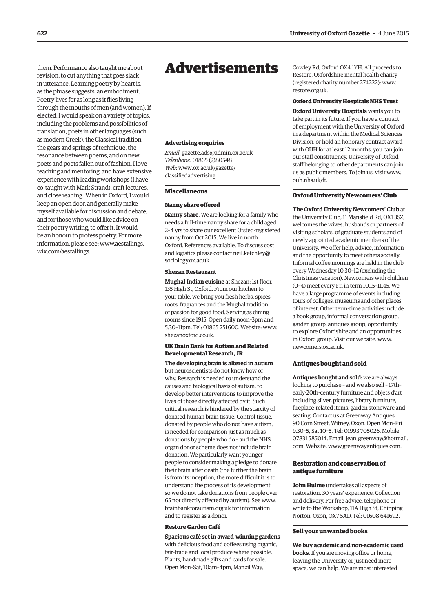<span id="page-17-0"></span>them. Performance also taught me about revision, to cut anything that goes slack in utterance. Learning poetry by heart is, as the phrase suggests, an embodiment. Poetry lives for as long as it flies living through the mouths of men (and women). If elected, I would speak on a variety of topics, including the problems and possibilities of translation, poets in other languages (such as modern Greek), the Classical tradition, the gears and springs of technique, the resonance between poems, and on new poets and poets fallen out of fashion. I love teaching and mentoring, and have extensive experience with leading workshops (I have co-taught with Mark Strand), craft lectures, and close reading. When in Oxford, I would keep an open door, and generally make myself available for discussion and debate, and for those who would like advice on their poetry writing, to offer it. It would be an honour to profess poetry. For more [information, please see: www.aestallings.](www.aestallings.wix.com/aestallings) wix.com/aestallings.

## Advertisements

#### **Advertising enquiries**

*Email*: gazette.ads@admin.ox.ac.uk *Telephone*: 01865 (2)80548 *Web*[: www.ox.ac.uk/gazette/](www.ox.ac.uk/gazette/classifiedadvertising) classifiedadvertising

#### **Miscellaneous**

#### **Nanny share offered**

**Nanny share**. We are looking for a family who needs a full-time nanny share for a child aged 2–4 yrs to share our excellent Ofsted-registered nanny from Oct 2015. We live in north Oxford. References available. To discuss cost [and logistics please contact neil.ketchley@](mailto:neil.ketchley@sociology.ox.ac.uk) sociology.ox.ac.uk.

#### **Shezan Restaurant**

**Mughal Indian cuisine** at Shezan: 1st floor, 135 High St, Oxford. From our kitchen to your table, we bring you fresh herbs, spices, roots, fragrances and the Mughal tradition of passion for good food. Serving as dining rooms since 1915. Open daily noon–3pm and [5.30–11pm. Tel: 01865 251600. Website: www.](www.shezanoxford.co.uk) shezanoxford.co.uk.

## **UK Brain Bank for Autism and Related Developmental Research, JR**

**The developing brain is altered in autism** but neuroscientists do not know how or why. Research is needed to understand the causes and biological basis of autism, to develop better interventions to improve the lives of those directly affected by it. Such critical research is hindered by the scarcity of donated human brain tissue. Control tissue, donated by people who do not have autism, is needed for comparison just as much as donations by people who do – and the NHS organ donor scheme does not include brain donation. We particularly want younger people to consider making a pledge to donate their brain after death (the further the brain is from its inception, the more difficult it is to understand the process of its development, so we do not take donations from people over [65 not directly affected by autism\). See www.](ww.brainbankforautism.org.uk) brainbankforautism.org.uk for information and to register as a donor.

#### **Restore Garden Café**

**Spacious café set in award-winning gardens** with delicious food and coffees using organic, fair-trade and local produce where possible. Plants, handmade gifts and cards for sale. Open Mon–Sat, 10am–4pm, Manzil Way,

Cowley Rd, Oxford OX4 1YH. All proceeds to Restore, Oxfordshire mental health charity [\(registered charity number 274222\): www.](www.restore.org.uk) restore.org.uk.

#### **Oxford University Hospitals NHS Trust**

**Oxford University Hospitals** wants you to take part in its future. If you have a contract of employment with the University of Oxford in a department within the Medical Sciences Division, or hold an honorary contract award with OUH for at least 12 months, you can join our staff constituency. University of Oxford staff belonging to other departments can join [us as public members. To join us, visit www.](www.ouh.nhs.uk/ft) ouh.nhs.uk/ft.

#### **Oxford University Newcomers' Club**

**The Oxford University Newcomers' Club** at the University Club, 11 Mansfield Rd, OX1 3SZ, welcomes the wives, husbands or partners of visiting scholars, of graduate students and of newly appointed academic members of the University. We offer help, advice, information and the opportunity to meet others socially. Informal coffee mornings are held in the club every Wednesday 10.30–12 (excluding the Christmas vacation). Newcomers with children (0–4) meet every Fri in term 10.15–11.45. We have a large programme of events including tours of colleges, museums and other places of interest. Other term-time activities include a book group, informal conversation group, garden group, antiques group, opportunity to explore Oxfordshire and an opportunities [in Oxford group. Visit our website: www.](www.newcomers.ox.ac.uk) newcomers.ox.ac.uk.

#### **Antiques bought and sold**

**Antiques bought and sold**: we are always looking to purchase – and we also sell – 17th– early-20th-century furniture and objets d'art including silver, pictures, library furniture, fireplace-related items, garden stoneware and seating. Contact us at Greenway Antiques, 90 Corn Street, Witney, Oxon. Open Mon–Fri 9.30–5, Sat 10–5. Tel: 01993 705026. Mobile: 07831 585014. [Email: jean\\_greenway@hotmail.](mailto:jean_greenway@hotmail.com) com. Website: www.greenwayantiques.com.

## **Restoration and conservation of antique furniture**

**John Hulme** undertakes all aspects of restoration. 30 years' experience. Collection and delivery. For free advice, telephone or write to the Workshop, 11A High St, Chipping Norton, Oxon, OX7 5AD. Tel: 01608 641692.

#### **Sell your unwanted books**

**We buy academic and non-academic used books**. If you are moving office or home, leaving the University or just need more space, we can help. We are most interested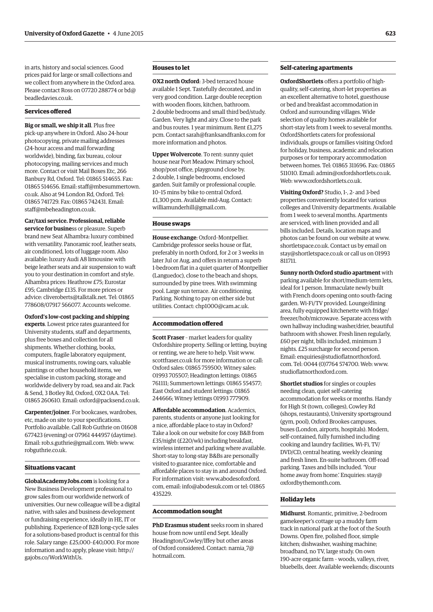in arts, history and social sciences. Good prices paid for large or small collections and we collect from anywhere in the Oxford area. [Please contact Ross on 07720 288774 or bd@](mailto:bd@beadledavies.co.uk) beadledavies.co.uk.

#### **Services offered**

**Big or small, we ship it all**. Plus free pick-up anywhere in Oxford. Also 24-hour photocopying, private mailing addresses (24-hour access and mail forwarding worldwide), binding, fax bureau, colour photocopying, mailing services and much more. Contact or visit Mail Boxes Etc, 266 Banbury Rd, Oxford. Tel: 01865 514655. Fax: [01865 514656. Email: staff@mbesummertown.](mailto:staff@mbesummertown.co.uk) co.uk. Also at 94 London Rd, Oxford. Tel: 01865 741729. Fax: 01865 742431. Email: staff@mbeheadington.co.uk.

**Car/taxi service. Professional, reliable service for busine**ss or pleasure. Superb brand new Seat Alhambra: luxury combined with versatility. Panoramic roof, leather seats, air conditioned, lots of luggage room. Also available: luxury Audi A8 limousine with beige leather seats and air suspension to waft you to your destination in comfort and style. Alhambra prices: Heathrow £75; Eurostar £95; Cambridge £135. For more prices or advice: cliveroberts@talktalk.net. Tel: 01865 778608/07917 566077. Accounts welcome.

**Oxford's low-cost packing and shipping experts**. Lowest price rates guaranteed for University students, staff and departments, plus free boxes and collection for all shipments. Whether clothing, books, computers, fragile laboratory equipment, musical instruments, rowing oars, valuable paintings or other household items, we specialise in custom packing, storage and worldwide delivery by road, sea and air. Pack & Send, 3 Botley Rd, Oxford, OX2 0AA. Tel: 01865 260610. Email: oxford@packsend.co.uk.

**Carpenter/joiner**. For bookcases, wardrobes, etc, made on site to your specifications. Portfolio available. Call Rob Guthrie on 01608 677423 (evening) or 07961 444957 (daytime). Email: rob.s.guthrie@gmail.com. Web: www. [robguthrie.co.uk.](www.robguthrie.co.uk)

## **Situations vacant**

**GlobalAcademyJobs.com** is looking for a New Business Development professional to grow sales from our worldwide network of universities. Our new colleague will be a digital native, with sales and business development or fundraising experience, ideally in HE, IT or publishing. Experience of B2B long-cycle sales for a solutions-based product is central for this role. Salary range: £25,000–£40,000. For more [information and to apply, please visit: http://](http://gajobs.co/WorkWithUs) gajobs.co/WorkWithUs.

## **Houses to let**

**OX2 north Oxford**: 3-bed terraced house available 1 Sept. Tastefully decorated, and in very good condition. Large double reception with wooden floors, kitchen, bathroom. 2 double bedrooms and small third bed/study. Garden. Very light and airy. Close to the park and bus routes. 1 year minimum. Rent £1,275 pcm. Contact sarah@franksandfranks.com for more information and photos.

**Upper Wolvercote**. To rent: sunny quiet house near Port Meadow. Primary school, shop/post office, playground close by. 2 double, 1 single bedrooms, enclosed garden. Suit family or professional couple. 10–15 mins by bike to central Oxford. £1,300 pcm. Available mid-Aug. Contact: williamunderhill@gmail.com.

#### **House swaps**

**House exchange**: Oxford–Montpellier. Cambridge professor seeks house or flat, preferably in north Oxford, for 2 or 3 weeks in later Jul or Aug, and offers in return a superb 1-bedroom flat in a quiet quarter of Montpellier (Languedoc), close to the beach and shops, surrounded by pine trees. With swimming pool. Large sun terrace. Air conditioning. Parking. Nothing to pay on either side but utilities. Contact: chp1000@cam.ac.uk.

#### **Accommodation offered**

**Scott Fraser** - market leaders for quality Oxfordshire property. Selling or letting, buying or renting, we are here to help. Visit www. [scottfraser.co.uk for more information or call:](www.scottfraser.co.uk)  Oxford sales: 01865 759500; Witney sales: 01993 705507; Headington lettings: 01865 761111; Summertown lettings: 01865 554577; East Oxford and student lettings: 01865 244666; Witney lettings 01993 777909.

**Affordable accommodation**. Academics, parents, students or anyone just looking for a nice, affordable place to stay in Oxford? Take a look on our website for cosy B&B from £35/night (£220/wk) including breakfast, wireless internet and parking where available. Short-stay to long-stay B&Bs are personally visited to guarantee nice, comfortable and affordable places to stay in and around Oxford. For infor[mation visit: www.abodesofoxford.](www.abodesofoxford.com) com, email: info@abodesuk.com or tel: 01865 435229.

#### **Accommodation sought**

**PhD Erasmus student** seeks room in shared house from now until end Sept. Ideally Headington/Cowley/Iffey but other areas [of Oxford considered. Contact: narnia\\_7@](mailto:narnia_7@hotmail.com) hotmail.com.

## **Self-catering apartments**

**OxfordShortlets** offers a portfolio of highquality, self-catering, short-let properties as an excellent alternative to hotel, guesthouse or bed and breakfast accommodation in Oxford and surrounding villages. Wide selection of quality homes available for short-stay lets from 1 week to several months. OxfordShortlets caters for professional individuals, groups or families visiting Oxford for holiday, business, academic and relocation purposes or for temporary accommodation between homes. Tel: 01865 311696. Fax: 01865 511010. Email: admin@oxfordshortlets.co.uk. Web: www.oxfordshortlets.co.uk.

**Visiting Oxford?** Studio, 1-, 2- and 3-bed properties conveniently located for various colleges and University departments. Available from 1 week to several months. Apartments are serviced, with linen provided and all bills included. Details, location maps and [photos can be found on our website at www.](www.shortletspace.co.uk) shortletspace.co.uk. Contact us by email on stay@shortletspace.co.uk or call us on 01993 811711.

**Sunny north Oxford studio apartment** with parking available for short/medium-term lets, ideal for 1 person. Immaculate newly built with French doors opening onto south-facing garden. Wi-Fi/TV provided. Lounge/dining area, fully equipped kitchenette with fridge/ freezer/hob/microwave. Separate access with own hallway including washer/drier, beautiful bathroom with shower. Fresh linen regularly, £60 per night, bills included, minimum 3 nights. £25 surcharge for second person. [Email: enquiries@studioflatnorthoxford.](mailto:enquiries@studioflatnorthoxford.com) com. Tel: 0044 (0)7764 574700. Web: www. [studioflatnorthoxford.com.](www.studioflatnorthoxford.com)

**Shortlet studios** for singles or couples needing clean, quiet self-catering accommodation for weeks or months. Handy for High St (town, colleges), Cowley Rd (shops, restaurants), University sportsground (gym, pool), Oxford Brookes campuses, buses (London, airports, hospitals). Modern, self-contained, fully furnished including cooking and laundry facilities, Wi-Fi, TV/ DVD/CD, central heating, weekly cleaning and fresh linen. En-suite bathroom. Off-road parking. Taxes and bills included. 'Your [home away from home.' Enquiries: stay@](mailto:stay@oxfordbythemonth.com) oxfordbythemonth.com.

#### **Holiday lets**

**Midhurst**. Romantic, primitive, 2-bedroom gamekeeper's cottage up a muddy farm track in national park at the foot of the South Downs. Open fire, polished floor, simple kitchen; dishwasher, washing machine; broadband, no TV, large study. On own 190-acre organic farm – woods, valleys, river, bluebells, deer. Available weekends; discounts